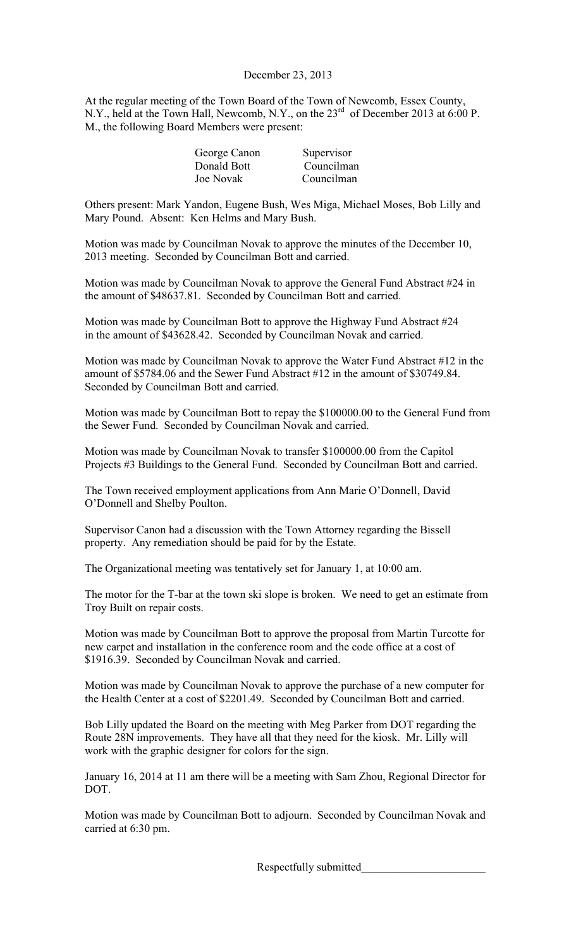## December 23, 2013

At the regular meeting of the Town Board of the Town of Newcomb, Essex County, N.Y., held at the Town Hall, Newcomb, N.Y., on the 23<sup>rd</sup> of December 2013 at 6:00 P. M., the following Board Members were present:

| George Canon | Supervisor |
|--------------|------------|
| Donald Bott  | Councilman |
| Joe Novak    | Councilman |

Others present: Mark Yandon, Eugene Bush, Wes Miga, Michael Moses, Bob Lilly and Mary Pound. Absent: Ken Helms and Mary Bush.

Motion was made by Councilman Novak to approve the minutes of the December 10, 2013 meeting. Seconded by Councilman Bott and carried.

Motion was made by Councilman Novak to approve the General Fund Abstract #24 in the amount of \$48637.81. Seconded by Councilman Bott and carried.

Motion was made by Councilman Bott to approve the Highway Fund Abstract #24 in the amount of \$43628.42. Seconded by Councilman Novak and carried.

Motion was made by Councilman Novak to approve the Water Fund Abstract #12 in the amount of \$5784.06 and the Sewer Fund Abstract #12 in the amount of \$30749.84. Seconded by Councilman Bott and carried.

Motion was made by Councilman Bott to repay the \$100000.00 to the General Fund from the Sewer Fund. Seconded by Councilman Novak and carried.

Motion was made by Councilman Novak to transfer \$100000.00 from the Capitol Projects #3 Buildings to the General Fund. Seconded by Councilman Bott and carried.

The Town received employment applications from Ann Marie O'Donnell, David O'Donnell and Shelby Poulton.

Supervisor Canon had a discussion with the Town Attorney regarding the Bissell property. Any remediation should be paid for by the Estate.

The Organizational meeting was tentatively set for January 1, at 10:00 am.

The motor for the T-bar at the town ski slope is broken. We need to get an estimate from Troy Built on repair costs.

Motion was made by Councilman Bott to approve the proposal from Martin Turcotte for new carpet and installation in the conference room and the code office at a cost of \$1916.39. Seconded by Councilman Novak and carried.

Motion was made by Councilman Novak to approve the purchase of a new computer for the Health Center at a cost of \$2201.49. Seconded by Councilman Bott and carried.

Bob Lilly updated the Board on the meeting with Meg Parker from DOT regarding the Route 28N improvements. They have all that they need for the kiosk. Mr. Lilly will work with the graphic designer for colors for the sign.

January 16, 2014 at 11 am there will be a meeting with Sam Zhou, Regional Director for DOT.

Motion was made by Councilman Bott to adjourn. Seconded by Councilman Novak and carried at 6:30 pm.

Respectfully submitted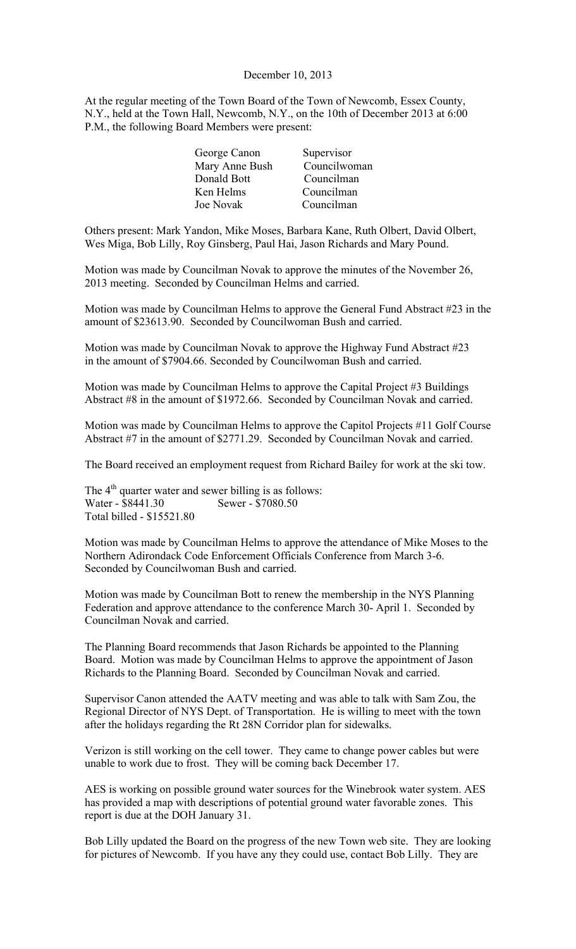#### December 10, 2013

At the regular meeting of the Town Board of the Town of Newcomb, Essex County, N.Y., held at the Town Hall, Newcomb, N.Y., on the 10th of December 2013 at 6:00 P.M., the following Board Members were present:

| George Canon   | Supervisor   |
|----------------|--------------|
| Mary Anne Bush | Councilwoman |
| Donald Bott    | Councilman   |
| Ken Helms      | Councilman   |
| Joe Novak      | Councilman   |
|                |              |

Others present: Mark Yandon, Mike Moses, Barbara Kane, Ruth Olbert, David Olbert, Wes Miga, Bob Lilly, Roy Ginsberg, Paul Hai, Jason Richards and Mary Pound.

Motion was made by Councilman Novak to approve the minutes of the November 26, 2013 meeting. Seconded by Councilman Helms and carried.

Motion was made by Councilman Helms to approve the General Fund Abstract #23 in the amount of \$23613.90. Seconded by Councilwoman Bush and carried.

Motion was made by Councilman Novak to approve the Highway Fund Abstract #23 in the amount of \$7904.66. Seconded by Councilwoman Bush and carried.

Motion was made by Councilman Helms to approve the Capital Project #3 Buildings Abstract #8 in the amount of \$1972.66. Seconded by Councilman Novak and carried.

Motion was made by Councilman Helms to approve the Capitol Projects #11 Golf Course Abstract #7 in the amount of \$2771.29. Seconded by Councilman Novak and carried.

The Board received an employment request from Richard Bailey for work at the ski tow.

The  $4<sup>th</sup>$  quarter water and sewer billing is as follows: Water - \$8441.30 Sewer - \$7080.50 Total billed - \$15521.80

Motion was made by Councilman Helms to approve the attendance of Mike Moses to the Northern Adirondack Code Enforcement Officials Conference from March 3-6. Seconded by Councilwoman Bush and carried.

Motion was made by Councilman Bott to renew the membership in the NYS Planning Federation and approve attendance to the conference March 30- April 1. Seconded by Councilman Novak and carried.

The Planning Board recommends that Jason Richards be appointed to the Planning Board. Motion was made by Councilman Helms to approve the appointment of Jason Richards to the Planning Board. Seconded by Councilman Novak and carried.

Supervisor Canon attended the AATV meeting and was able to talk with Sam Zou, the Regional Director of NYS Dept. of Transportation. He is willing to meet with the town after the holidays regarding the Rt 28N Corridor plan for sidewalks.

Verizon is still working on the cell tower. They came to change power cables but were unable to work due to frost. They will be coming back December 17.

AES is working on possible ground water sources for the Winebrook water system. AES has provided a map with descriptions of potential ground water favorable zones. This report is due at the DOH January 31.

Bob Lilly updated the Board on the progress of the new Town web site. They are looking for pictures of Newcomb. If you have any they could use, contact Bob Lilly. They are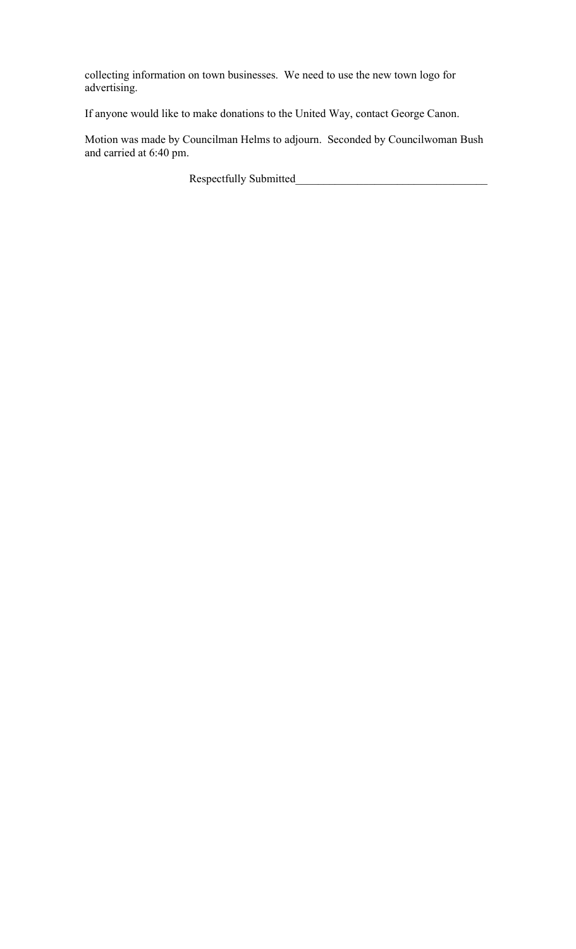collecting information on town businesses. We need to use the new town logo for advertising.

If anyone would like to make donations to the United Way, contact George Canon.

Motion was made by Councilman Helms to adjourn. Seconded by Councilwoman Bush and carried at 6:40 pm.

Respectfully Submitted\_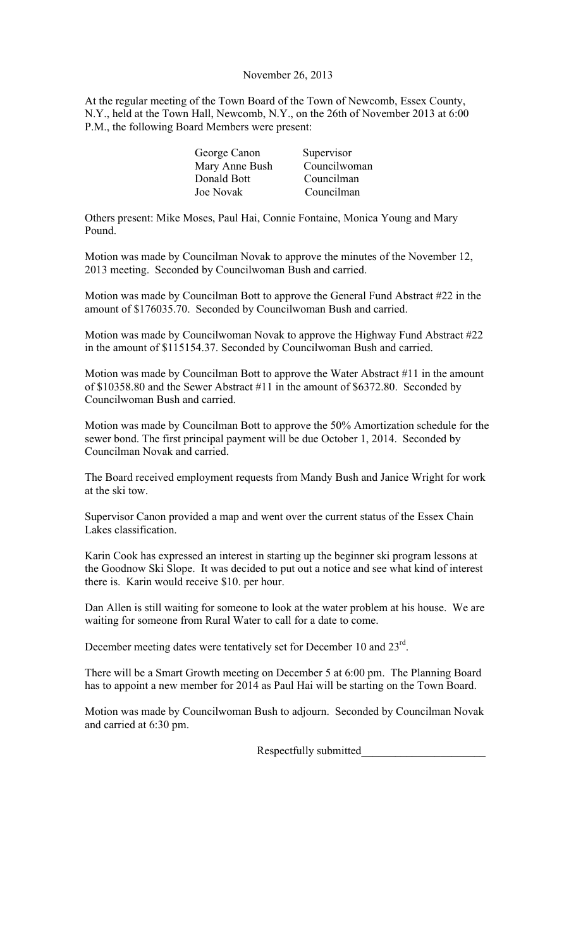### November 26, 2013

At the regular meeting of the Town Board of the Town of Newcomb, Essex County, N.Y., held at the Town Hall, Newcomb, N.Y., on the 26th of November 2013 at 6:00 P.M., the following Board Members were present:

| Supervisor   |
|--------------|
| Councilwoman |
| Councilman   |
| Councilman   |
|              |

Others present: Mike Moses, Paul Hai, Connie Fontaine, Monica Young and Mary Pound.

Motion was made by Councilman Novak to approve the minutes of the November 12, 2013 meeting. Seconded by Councilwoman Bush and carried.

Motion was made by Councilman Bott to approve the General Fund Abstract #22 in the amount of \$176035.70. Seconded by Councilwoman Bush and carried.

Motion was made by Councilwoman Novak to approve the Highway Fund Abstract #22 in the amount of \$115154.37. Seconded by Councilwoman Bush and carried.

Motion was made by Councilman Bott to approve the Water Abstract #11 in the amount of \$10358.80 and the Sewer Abstract #11 in the amount of \$6372.80. Seconded by Councilwoman Bush and carried.

Motion was made by Councilman Bott to approve the 50% Amortization schedule for the sewer bond. The first principal payment will be due October 1, 2014. Seconded by Councilman Novak and carried.

The Board received employment requests from Mandy Bush and Janice Wright for work at the ski tow.

Supervisor Canon provided a map and went over the current status of the Essex Chain Lakes classification.

Karin Cook has expressed an interest in starting up the beginner ski program lessons at the Goodnow Ski Slope. It was decided to put out a notice and see what kind of interest there is. Karin would receive \$10. per hour.

Dan Allen is still waiting for someone to look at the water problem at his house. We are waiting for someone from Rural Water to call for a date to come.

December meeting dates were tentatively set for December 10 and  $23^{\text{rd}}$ .

There will be a Smart Growth meeting on December 5 at 6:00 pm. The Planning Board has to appoint a new member for 2014 as Paul Hai will be starting on the Town Board.

Motion was made by Councilwoman Bush to adjourn. Seconded by Councilman Novak and carried at 6:30 pm.

Respectfully submitted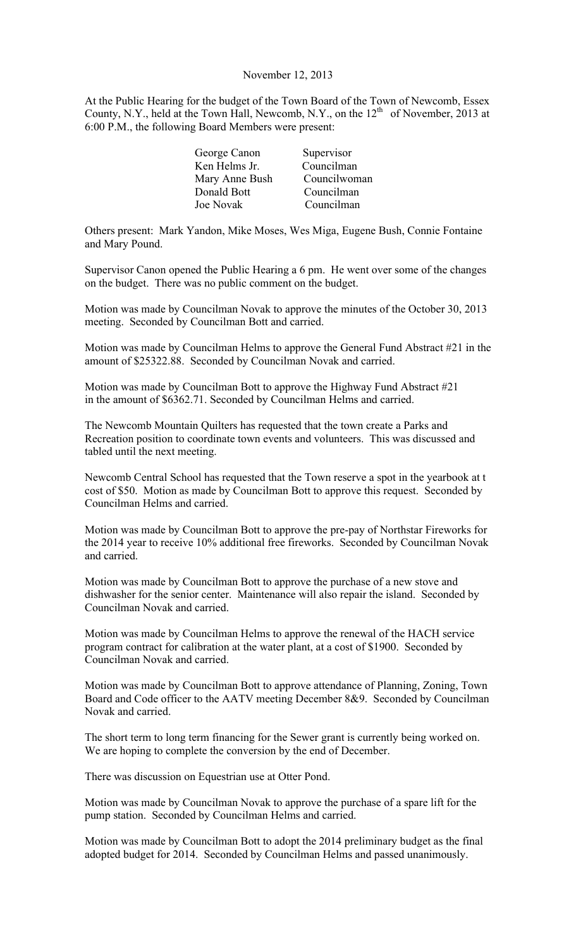#### November 12, 2013

At the Public Hearing for the budget of the Town Board of the Town of Newcomb, Essex County, N.Y., held at the Town Hall, Newcomb, N.Y., on the  $12<sup>th</sup>$  of November, 2013 at 6:00 P.M., the following Board Members were present:

| George Canon   | Supervisor   |
|----------------|--------------|
| Ken Helms Jr.  | Councilman   |
| Mary Anne Bush | Councilwoman |
| Donald Bott    | Councilman   |
| Joe Novak      | Councilman   |
|                |              |

Others present: Mark Yandon, Mike Moses, Wes Miga, Eugene Bush, Connie Fontaine and Mary Pound.

Supervisor Canon opened the Public Hearing a 6 pm. He went over some of the changes on the budget. There was no public comment on the budget.

Motion was made by Councilman Novak to approve the minutes of the October 30, 2013 meeting. Seconded by Councilman Bott and carried.

Motion was made by Councilman Helms to approve the General Fund Abstract #21 in the amount of \$25322.88. Seconded by Councilman Novak and carried.

Motion was made by Councilman Bott to approve the Highway Fund Abstract #21 in the amount of \$6362.71. Seconded by Councilman Helms and carried.

The Newcomb Mountain Quilters has requested that the town create a Parks and Recreation position to coordinate town events and volunteers. This was discussed and tabled until the next meeting.

Newcomb Central School has requested that the Town reserve a spot in the yearbook at t cost of \$50. Motion as made by Councilman Bott to approve this request. Seconded by Councilman Helms and carried.

Motion was made by Councilman Bott to approve the pre-pay of Northstar Fireworks for the 2014 year to receive 10% additional free fireworks. Seconded by Councilman Novak and carried.

Motion was made by Councilman Bott to approve the purchase of a new stove and dishwasher for the senior center. Maintenance will also repair the island. Seconded by Councilman Novak and carried.

Motion was made by Councilman Helms to approve the renewal of the HACH service program contract for calibration at the water plant, at a cost of \$1900. Seconded by Councilman Novak and carried.

Motion was made by Councilman Bott to approve attendance of Planning, Zoning, Town Board and Code officer to the AATV meeting December 8&9. Seconded by Councilman Novak and carried.

The short term to long term financing for the Sewer grant is currently being worked on. We are hoping to complete the conversion by the end of December.

There was discussion on Equestrian use at Otter Pond.

Motion was made by Councilman Novak to approve the purchase of a spare lift for the pump station. Seconded by Councilman Helms and carried.

Motion was made by Councilman Bott to adopt the 2014 preliminary budget as the final adopted budget for 2014. Seconded by Councilman Helms and passed unanimously.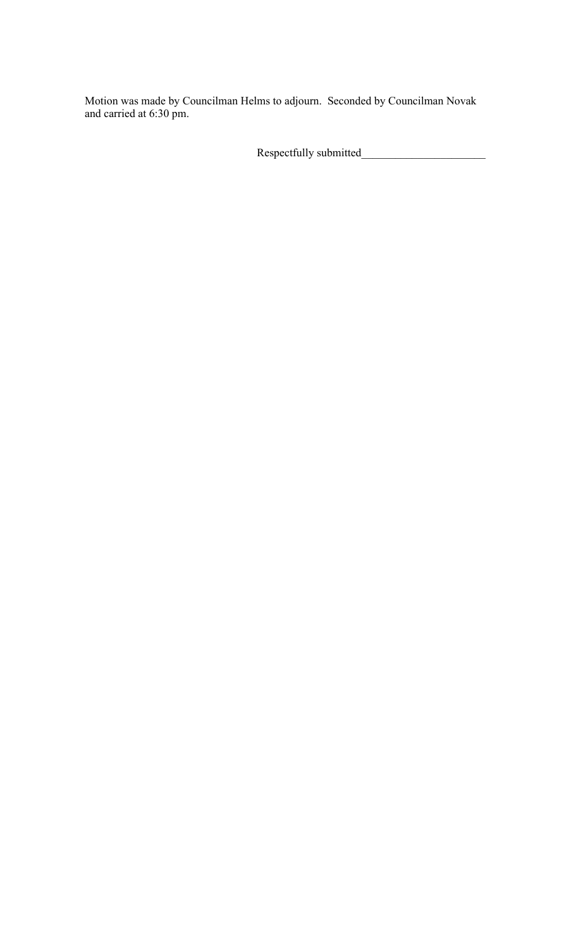Motion was made by Councilman Helms to adjourn. Seconded by Councilman Novak and carried at 6:30 pm.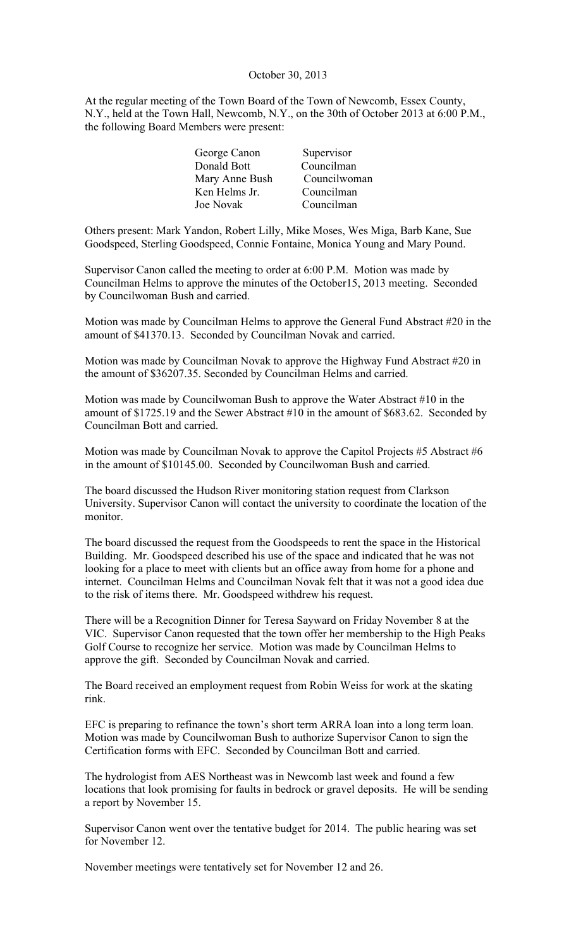## October 30, 2013

At the regular meeting of the Town Board of the Town of Newcomb, Essex County, N.Y., held at the Town Hall, Newcomb, N.Y., on the 30th of October 2013 at 6:00 P.M., the following Board Members were present:

| George Canon   | Supervisor   |
|----------------|--------------|
| Donald Bott    | Councilman   |
| Mary Anne Bush | Councilwoman |
| Ken Helms Jr.  | Councilman   |
| Joe Novak      | Councilman   |
|                |              |

Others present: Mark Yandon, Robert Lilly, Mike Moses, Wes Miga, Barb Kane, Sue Goodspeed, Sterling Goodspeed, Connie Fontaine, Monica Young and Mary Pound.

Supervisor Canon called the meeting to order at 6:00 P.M. Motion was made by Councilman Helms to approve the minutes of the October15, 2013 meeting. Seconded by Councilwoman Bush and carried.

Motion was made by Councilman Helms to approve the General Fund Abstract #20 in the amount of \$41370.13. Seconded by Councilman Novak and carried.

Motion was made by Councilman Novak to approve the Highway Fund Abstract #20 in the amount of \$36207.35. Seconded by Councilman Helms and carried.

Motion was made by Councilwoman Bush to approve the Water Abstract #10 in the amount of \$1725.19 and the Sewer Abstract #10 in the amount of \$683.62. Seconded by Councilman Bott and carried.

Motion was made by Councilman Novak to approve the Capitol Projects #5 Abstract #6 in the amount of \$10145.00. Seconded by Councilwoman Bush and carried.

The board discussed the Hudson River monitoring station request from Clarkson University. Supervisor Canon will contact the university to coordinate the location of the monitor.

The board discussed the request from the Goodspeeds to rent the space in the Historical Building. Mr. Goodspeed described his use of the space and indicated that he was not looking for a place to meet with clients but an office away from home for a phone and internet. Councilman Helms and Councilman Novak felt that it was not a good idea due to the risk of items there. Mr. Goodspeed withdrew his request.

There will be a Recognition Dinner for Teresa Sayward on Friday November 8 at the VIC. Supervisor Canon requested that the town offer her membership to the High Peaks Golf Course to recognize her service. Motion was made by Councilman Helms to approve the gift. Seconded by Councilman Novak and carried.

The Board received an employment request from Robin Weiss for work at the skating rink.

EFC is preparing to refinance the town's short term ARRA loan into a long term loan. Motion was made by Councilwoman Bush to authorize Supervisor Canon to sign the Certification forms with EFC. Seconded by Councilman Bott and carried.

The hydrologist from AES Northeast was in Newcomb last week and found a few locations that look promising for faults in bedrock or gravel deposits. He will be sending a report by November 15.

Supervisor Canon went over the tentative budget for 2014. The public hearing was set for November 12.

November meetings were tentatively set for November 12 and 26.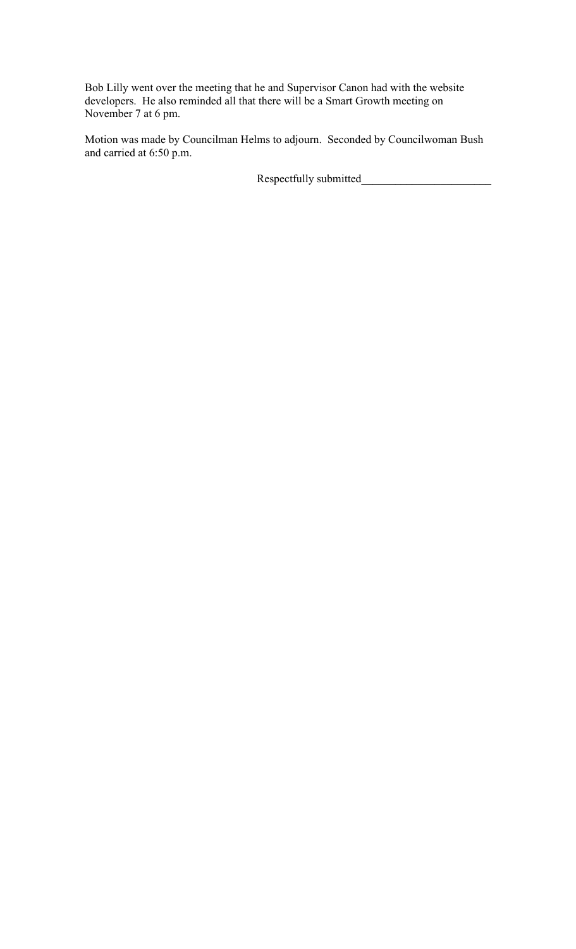Bob Lilly went over the meeting that he and Supervisor Canon had with the website developers. He also reminded all that there will be a Smart Growth meeting on November 7 at 6 pm.

Motion was made by Councilman Helms to adjourn. Seconded by Councilwoman Bush and carried at 6:50 p.m.

Respectfully submitted\_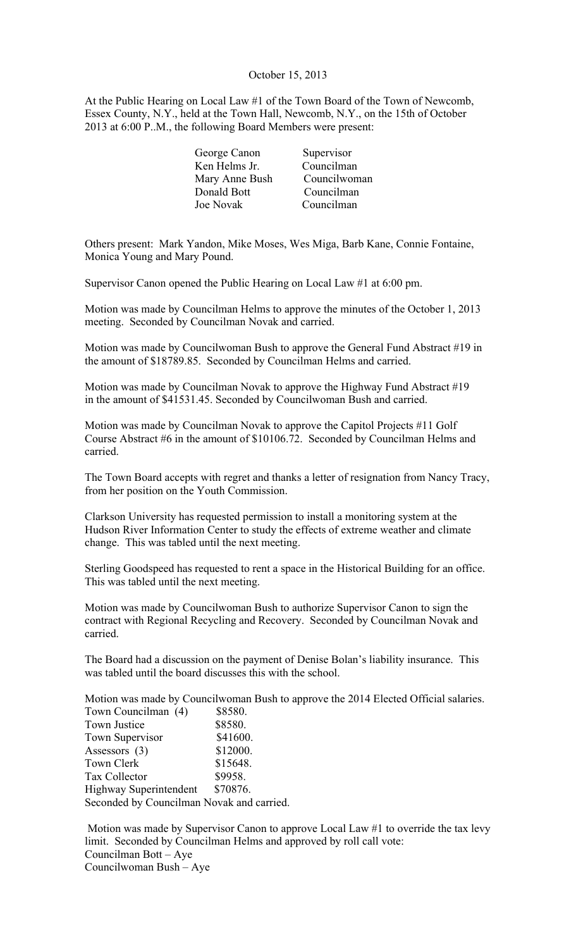## October 15, 2013

At the Public Hearing on Local Law #1 of the Town Board of the Town of Newcomb, Essex County, N.Y., held at the Town Hall, Newcomb, N.Y., on the 15th of October 2013 at 6:00 P..M., the following Board Members were present:

| George Canon   | Supervisor   |
|----------------|--------------|
| Ken Helms Jr.  | Councilman   |
| Mary Anne Bush | Councilwoman |
| Donald Bott    | Councilman   |
| Joe Novak      | Councilman   |

Others present: Mark Yandon, Mike Moses, Wes Miga, Barb Kane, Connie Fontaine, Monica Young and Mary Pound.

Supervisor Canon opened the Public Hearing on Local Law #1 at 6:00 pm.

Motion was made by Councilman Helms to approve the minutes of the October 1, 2013 meeting. Seconded by Councilman Novak and carried.

Motion was made by Councilwoman Bush to approve the General Fund Abstract #19 in the amount of \$18789.85. Seconded by Councilman Helms and carried.

Motion was made by Councilman Novak to approve the Highway Fund Abstract #19 in the amount of \$41531.45. Seconded by Councilwoman Bush and carried.

Motion was made by Councilman Novak to approve the Capitol Projects #11 Golf Course Abstract #6 in the amount of \$10106.72. Seconded by Councilman Helms and carried.

The Town Board accepts with regret and thanks a letter of resignation from Nancy Tracy, from her position on the Youth Commission.

Clarkson University has requested permission to install a monitoring system at the Hudson River Information Center to study the effects of extreme weather and climate change. This was tabled until the next meeting.

Sterling Goodspeed has requested to rent a space in the Historical Building for an office. This was tabled until the next meeting.

Motion was made by Councilwoman Bush to authorize Supervisor Canon to sign the contract with Regional Recycling and Recovery. Seconded by Councilman Novak and carried.

The Board had a discussion on the payment of Denise Bolan's liability insurance. This was tabled until the board discusses this with the school.

Motion was made by Councilwoman Bush to approve the 2014 Elected Official salaries. Town Councilman (4) \$8580. Town Justice \$8580. Town Supervisor \$41600. Assessors (3) \$12000. Town Clerk \$15648. Tax Collector \$9958.

Highway Superintendent \$70876. Seconded by Councilman Novak and carried.

 Motion was made by Supervisor Canon to approve Local Law #1 to override the tax levy limit. Seconded by Councilman Helms and approved by roll call vote: Councilman Bott – Aye Councilwoman Bush – Aye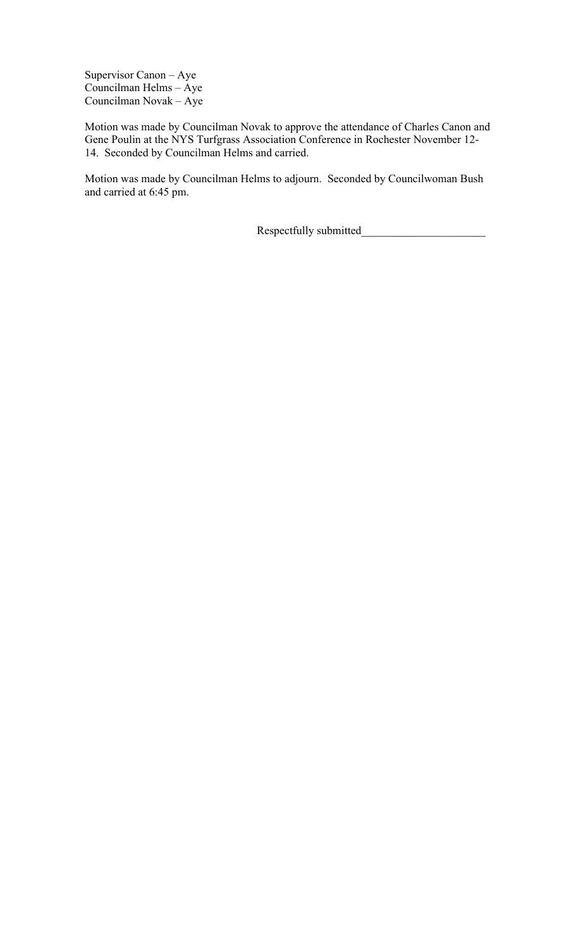Supervisor Canon – Aye Councilman Helms – Aye Councilman Novak – Aye

Motion was made by Councilman Novak to approve the attendance of Charles Canon and Gene Poulin at the NYS Turfgrass Association Conference in Rochester November 12- 14. Seconded by Councilman Helms and carried.

Motion was made by Councilman Helms to adjourn. Seconded by Councilwoman Bush and carried at 6:45 pm.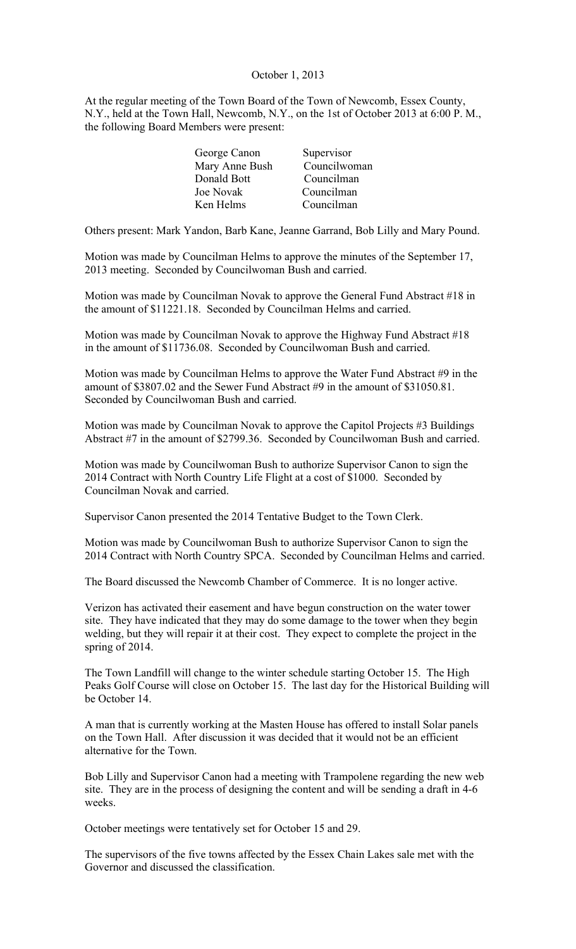## October 1, 2013

At the regular meeting of the Town Board of the Town of Newcomb, Essex County, N.Y., held at the Town Hall, Newcomb, N.Y., on the 1st of October 2013 at 6:00 P. M., the following Board Members were present:

| George Canon   | Supervisor   |
|----------------|--------------|
| Mary Anne Bush | Councilwoman |
| Donald Bott    | Councilman   |
| Joe Novak      | Councilman   |
| Ken Helms      | Councilman   |
|                |              |

Others present: Mark Yandon, Barb Kane, Jeanne Garrand, Bob Lilly and Mary Pound.

Motion was made by Councilman Helms to approve the minutes of the September 17, 2013 meeting. Seconded by Councilwoman Bush and carried.

Motion was made by Councilman Novak to approve the General Fund Abstract #18 in the amount of \$11221.18. Seconded by Councilman Helms and carried.

Motion was made by Councilman Novak to approve the Highway Fund Abstract #18 in the amount of \$11736.08. Seconded by Councilwoman Bush and carried.

Motion was made by Councilman Helms to approve the Water Fund Abstract #9 in the amount of \$3807.02 and the Sewer Fund Abstract #9 in the amount of \$31050.81. Seconded by Councilwoman Bush and carried.

Motion was made by Councilman Novak to approve the Capitol Projects #3 Buildings Abstract #7 in the amount of \$2799.36. Seconded by Councilwoman Bush and carried.

Motion was made by Councilwoman Bush to authorize Supervisor Canon to sign the 2014 Contract with North Country Life Flight at a cost of \$1000. Seconded by Councilman Novak and carried.

Supervisor Canon presented the 2014 Tentative Budget to the Town Clerk.

Motion was made by Councilwoman Bush to authorize Supervisor Canon to sign the 2014 Contract with North Country SPCA. Seconded by Councilman Helms and carried.

The Board discussed the Newcomb Chamber of Commerce. It is no longer active.

Verizon has activated their easement and have begun construction on the water tower site. They have indicated that they may do some damage to the tower when they begin welding, but they will repair it at their cost. They expect to complete the project in the spring of 2014.

The Town Landfill will change to the winter schedule starting October 15. The High Peaks Golf Course will close on October 15. The last day for the Historical Building will be October 14.

A man that is currently working at the Masten House has offered to install Solar panels on the Town Hall. After discussion it was decided that it would not be an efficient alternative for the Town.

Bob Lilly and Supervisor Canon had a meeting with Trampolene regarding the new web site. They are in the process of designing the content and will be sending a draft in 4-6 weeks.

October meetings were tentatively set for October 15 and 29.

The supervisors of the five towns affected by the Essex Chain Lakes sale met with the Governor and discussed the classification.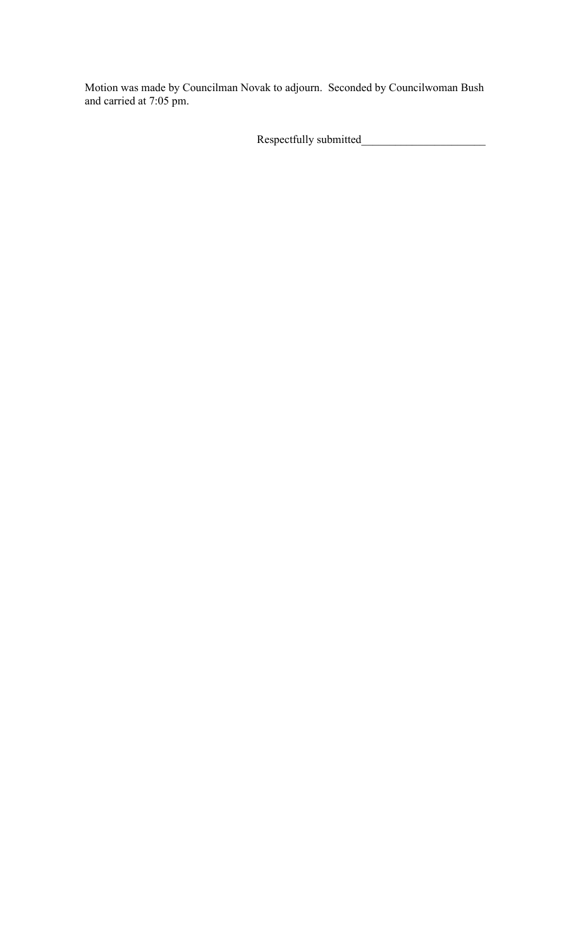Motion was made by Councilman Novak to adjourn. Seconded by Councilwoman Bush and carried at 7:05 pm.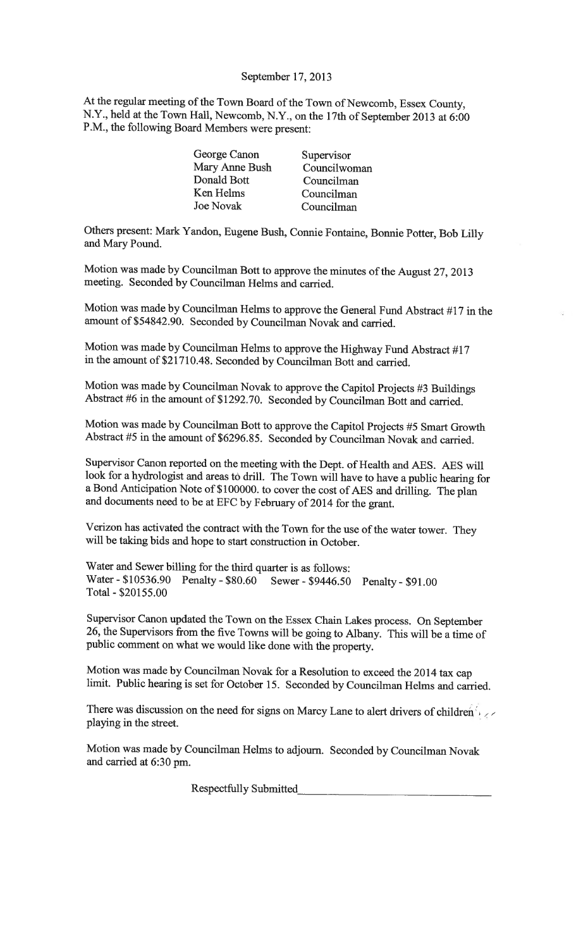### September 17, 2013

At the regular meeting of the Town Board of the Town of Newcomb, Essex County, N.Y., held at the Town Hall, Newcomb, N.Y., on the 17th of September 2013 at 6:00 P.M., the following Board Members were present:

| George Canon     | Supervisor   |
|------------------|--------------|
| Mary Anne Bush   | Councilwoman |
| Donald Bott      | Councilman   |
| Ken Helms        | Councilman   |
| <b>Joe Novak</b> | Councilman   |
|                  |              |

Others present: Mark Yandon, Eugene Bush, Connie Fontaine, Bonnie Potter, Bob Lilly and Mary Pound.

Motion was made by Councilman Bott to approve the minutes of the August 27, 2013 meeting. Seconded by Councilman Helms and carried.

Motion was made by Councilman Helms to approve the General Fund Abstract #17 in the amount of \$54842.90. Seconded by Councilman Novak and carried.

Motion was made by Councilman Helms to approve the Highway Fund Abstract #17 in the amount of \$21710.48. Seconded by Councilman Bott and carried.

Motion was made by Councilman Novak to approve the Capitol Projects #3 Buildings Abstract #6 in the amount of \$1292.70. Seconded by Councilman Bott and carried.

Motion was made by Councilman Bott to approve the Capitol Projects #5 Smart Growth Abstract #5 in the amount of \$6296.85. Seconded by Councilman Novak and carried.

Supervisor Canon reported on the meeting with the Dept. of Health and AES. AES will look for a hydrologist and areas to drill. The Town will have to have a public hearing for a Bond Anticipation Note of \$100000. to cover the cost of AES and drilling. The plan and documents need to be at EFC by February of 2014 for the grant.

Verizon has activated the contract with the Town for the use of the water tower. They will be taking bids and hope to start construction in October.

Water and Sewer billing for the third quarter is as follows: Penalty - \$80.60 Sewer - \$9446.50 Penalty - \$91.00 Water - \$10536.90 Total - \$20155.00

Supervisor Canon updated the Town on the Essex Chain Lakes process. On September 26, the Supervisors from the five Towns will be going to Albany. This will be a time of public comment on what we would like done with the property.

Motion was made by Councilman Novak for a Resolution to exceed the 2014 tax cap limit. Public hearing is set for October 15. Seconded by Councilman Helms and carried.

There was discussion on the need for signs on Marcy Lane to alert drivers of children playing in the street.

Motion was made by Councilman Helms to adjourn. Seconded by Councilman Novak and carried at 6:30 pm.

Respectfully Submitted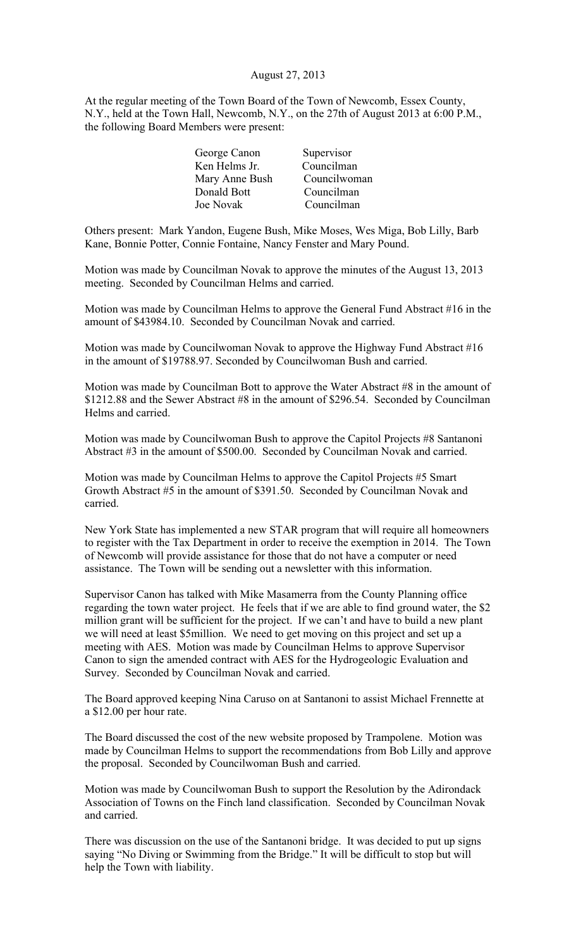## August 27, 2013

At the regular meeting of the Town Board of the Town of Newcomb, Essex County, N.Y., held at the Town Hall, Newcomb, N.Y., on the 27th of August 2013 at 6:00 P.M., the following Board Members were present:

| George Canon   | Supervisor   |
|----------------|--------------|
| Ken Helms Jr.  | Councilman   |
| Mary Anne Bush | Councilwoman |
| Donald Bott    | Councilman   |
| Joe Novak      | Councilman   |
|                |              |

Others present: Mark Yandon, Eugene Bush, Mike Moses, Wes Miga, Bob Lilly, Barb Kane, Bonnie Potter, Connie Fontaine, Nancy Fenster and Mary Pound.

Motion was made by Councilman Novak to approve the minutes of the August 13, 2013 meeting. Seconded by Councilman Helms and carried.

Motion was made by Councilman Helms to approve the General Fund Abstract #16 in the amount of \$43984.10. Seconded by Councilman Novak and carried.

Motion was made by Councilwoman Novak to approve the Highway Fund Abstract #16 in the amount of \$19788.97. Seconded by Councilwoman Bush and carried.

Motion was made by Councilman Bott to approve the Water Abstract #8 in the amount of \$1212.88 and the Sewer Abstract #8 in the amount of \$296.54. Seconded by Councilman Helms and carried.

Motion was made by Councilwoman Bush to approve the Capitol Projects #8 Santanoni Abstract #3 in the amount of \$500.00. Seconded by Councilman Novak and carried.

Motion was made by Councilman Helms to approve the Capitol Projects #5 Smart Growth Abstract #5 in the amount of \$391.50. Seconded by Councilman Novak and carried.

New York State has implemented a new STAR program that will require all homeowners to register with the Tax Department in order to receive the exemption in 2014. The Town of Newcomb will provide assistance for those that do not have a computer or need assistance. The Town will be sending out a newsletter with this information.

Supervisor Canon has talked with Mike Masamerra from the County Planning office regarding the town water project. He feels that if we are able to find ground water, the \$2 million grant will be sufficient for the project. If we can't and have to build a new plant we will need at least \$5million. We need to get moving on this project and set up a meeting with AES. Motion was made by Councilman Helms to approve Supervisor Canon to sign the amended contract with AES for the Hydrogeologic Evaluation and Survey. Seconded by Councilman Novak and carried.

The Board approved keeping Nina Caruso on at Santanoni to assist Michael Frennette at a \$12.00 per hour rate.

The Board discussed the cost of the new website proposed by Trampolene. Motion was made by Councilman Helms to support the recommendations from Bob Lilly and approve the proposal. Seconded by Councilwoman Bush and carried.

Motion was made by Councilwoman Bush to support the Resolution by the Adirondack Association of Towns on the Finch land classification. Seconded by Councilman Novak and carried.

There was discussion on the use of the Santanoni bridge. It was decided to put up signs saying "No Diving or Swimming from the Bridge." It will be difficult to stop but will help the Town with liability.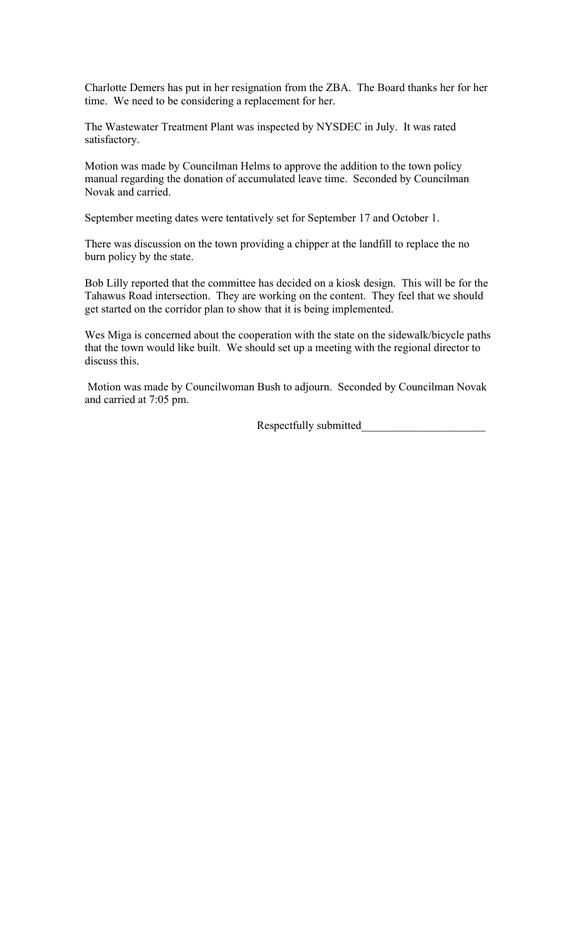Charlotte Demers has put in her resignation from the ZBA. The Board thanks her for her time. We need to be considering a replacement for her.

The Wastewater Treatment Plant was inspected by NYSDEC in July. It was rated satisfactory.

Motion was made by Councilman Helms to approve the addition to the town policy manual regarding the donation of accumulated leave time. Seconded by Councilman Novak and carried.

September meeting dates were tentatively set for September 17 and October 1.

There was discussion on the town providing a chipper at the landfill to replace the no burn policy by the state.

Bob Lilly reported that the committee has decided on a kiosk design. This will be for the Tahawus Road intersection. They are working on the content. They feel that we should get started on the corridor plan to show that it is being implemented.

Wes Miga is concerned about the cooperation with the state on the sidewalk/bicycle paths that the town would like built. We should set up a meeting with the regional director to discuss this.

 Motion was made by Councilwoman Bush to adjourn. Seconded by Councilman Novak and carried at 7:05 pm.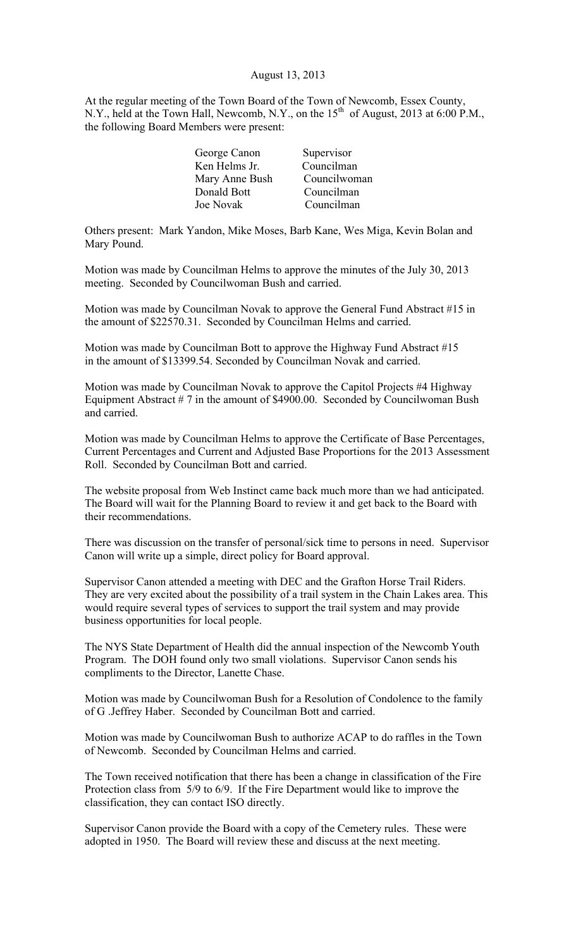## August 13, 2013

At the regular meeting of the Town Board of the Town of Newcomb, Essex County, N.Y., held at the Town Hall, Newcomb, N.Y., on the 15<sup>th</sup> of August, 2013 at 6:00 P.M., the following Board Members were present:

| George Canon   | Supervisor   |
|----------------|--------------|
| Ken Helms Jr.  | Councilman   |
| Mary Anne Bush | Councilwoman |
| Donald Bott    | Councilman   |
| Joe Novak      | Councilman   |
|                |              |

Others present: Mark Yandon, Mike Moses, Barb Kane, Wes Miga, Kevin Bolan and Mary Pound.

Motion was made by Councilman Helms to approve the minutes of the July 30, 2013 meeting. Seconded by Councilwoman Bush and carried.

Motion was made by Councilman Novak to approve the General Fund Abstract #15 in the amount of \$22570.31. Seconded by Councilman Helms and carried.

Motion was made by Councilman Bott to approve the Highway Fund Abstract #15 in the amount of \$13399.54. Seconded by Councilman Novak and carried.

Motion was made by Councilman Novak to approve the Capitol Projects #4 Highway Equipment Abstract  $# 7$  in the amount of \$4900.00. Seconded by Councilwoman Bush and carried.

Motion was made by Councilman Helms to approve the Certificate of Base Percentages, Current Percentages and Current and Adjusted Base Proportions for the 2013 Assessment Roll. Seconded by Councilman Bott and carried.

The website proposal from Web Instinct came back much more than we had anticipated. The Board will wait for the Planning Board to review it and get back to the Board with their recommendations.

There was discussion on the transfer of personal/sick time to persons in need. Supervisor Canon will write up a simple, direct policy for Board approval.

Supervisor Canon attended a meeting with DEC and the Grafton Horse Trail Riders. They are very excited about the possibility of a trail system in the Chain Lakes area. This would require several types of services to support the trail system and may provide business opportunities for local people.

The NYS State Department of Health did the annual inspection of the Newcomb Youth Program. The DOH found only two small violations. Supervisor Canon sends his compliments to the Director, Lanette Chase.

Motion was made by Councilwoman Bush for a Resolution of Condolence to the family of G .Jeffrey Haber. Seconded by Councilman Bott and carried.

Motion was made by Councilwoman Bush to authorize ACAP to do raffles in the Town of Newcomb. Seconded by Councilman Helms and carried.

The Town received notification that there has been a change in classification of the Fire Protection class from 5/9 to 6/9. If the Fire Department would like to improve the classification, they can contact ISO directly.

Supervisor Canon provide the Board with a copy of the Cemetery rules. These were adopted in 1950. The Board will review these and discuss at the next meeting.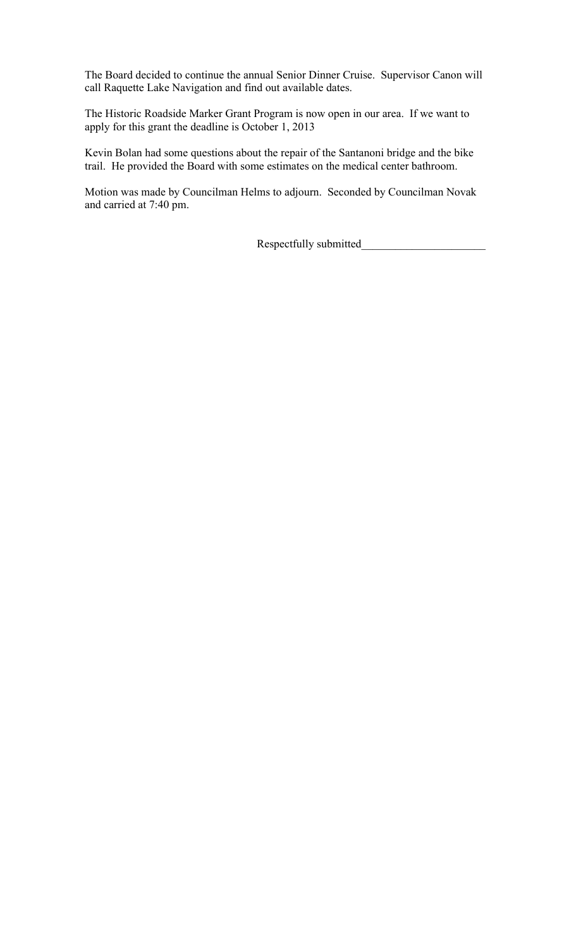The Board decided to continue the annual Senior Dinner Cruise. Supervisor Canon will call Raquette Lake Navigation and find out available dates.

The Historic Roadside Marker Grant Program is now open in our area. If we want to apply for this grant the deadline is October 1, 2013

Kevin Bolan had some questions about the repair of the Santanoni bridge and the bike trail. He provided the Board with some estimates on the medical center bathroom.

Motion was made by Councilman Helms to adjourn. Seconded by Councilman Novak and carried at 7:40 pm.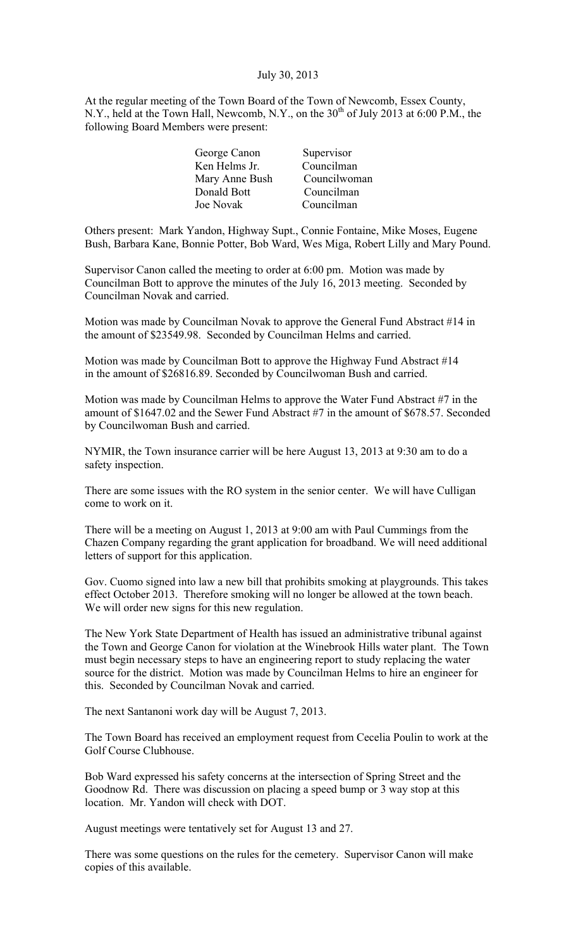## July 30, 2013

At the regular meeting of the Town Board of the Town of Newcomb, Essex County, N.Y., held at the Town Hall, Newcomb, N.Y., on the  $30<sup>th</sup>$  of July 2013 at 6:00 P.M., the following Board Members were present:

| George Canon   | Supervisor   |
|----------------|--------------|
| Ken Helms Jr.  | Councilman   |
| Mary Anne Bush | Councilwoman |
| Donald Bott    | Councilman   |
| Joe Novak      | Councilman   |
|                |              |

Others present: Mark Yandon, Highway Supt., Connie Fontaine, Mike Moses, Eugene Bush, Barbara Kane, Bonnie Potter, Bob Ward, Wes Miga, Robert Lilly and Mary Pound.

Supervisor Canon called the meeting to order at 6:00 pm. Motion was made by Councilman Bott to approve the minutes of the July 16, 2013 meeting. Seconded by Councilman Novak and carried.

Motion was made by Councilman Novak to approve the General Fund Abstract #14 in the amount of \$23549.98. Seconded by Councilman Helms and carried.

Motion was made by Councilman Bott to approve the Highway Fund Abstract #14 in the amount of \$26816.89. Seconded by Councilwoman Bush and carried.

Motion was made by Councilman Helms to approve the Water Fund Abstract #7 in the amount of \$1647.02 and the Sewer Fund Abstract #7 in the amount of \$678.57. Seconded by Councilwoman Bush and carried.

NYMIR, the Town insurance carrier will be here August 13, 2013 at 9:30 am to do a safety inspection.

There are some issues with the RO system in the senior center. We will have Culligan come to work on it.

There will be a meeting on August 1, 2013 at 9:00 am with Paul Cummings from the Chazen Company regarding the grant application for broadband. We will need additional letters of support for this application.

Gov. Cuomo signed into law a new bill that prohibits smoking at playgrounds. This takes effect October 2013. Therefore smoking will no longer be allowed at the town beach. We will order new signs for this new regulation.

The New York State Department of Health has issued an administrative tribunal against the Town and George Canon for violation at the Winebrook Hills water plant. The Town must begin necessary steps to have an engineering report to study replacing the water source for the district. Motion was made by Councilman Helms to hire an engineer for this. Seconded by Councilman Novak and carried.

The next Santanoni work day will be August 7, 2013.

The Town Board has received an employment request from Cecelia Poulin to work at the Golf Course Clubhouse.

Bob Ward expressed his safety concerns at the intersection of Spring Street and the Goodnow Rd. There was discussion on placing a speed bump or 3 way stop at this location. Mr. Yandon will check with DOT.

August meetings were tentatively set for August 13 and 27.

There was some questions on the rules for the cemetery. Supervisor Canon will make copies of this available.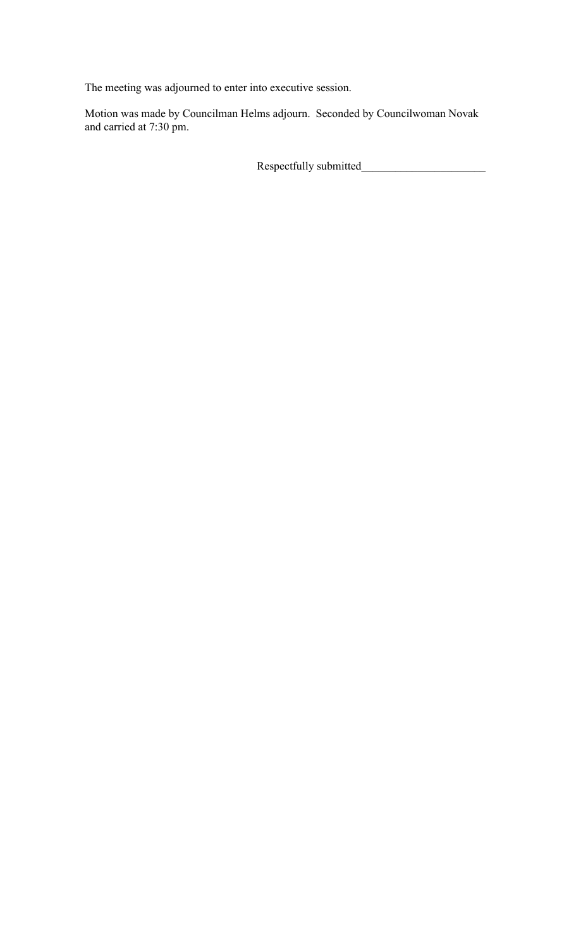The meeting was adjourned to enter into executive session.

Motion was made by Councilman Helms adjourn. Seconded by Councilwoman Novak and carried at 7:30 pm.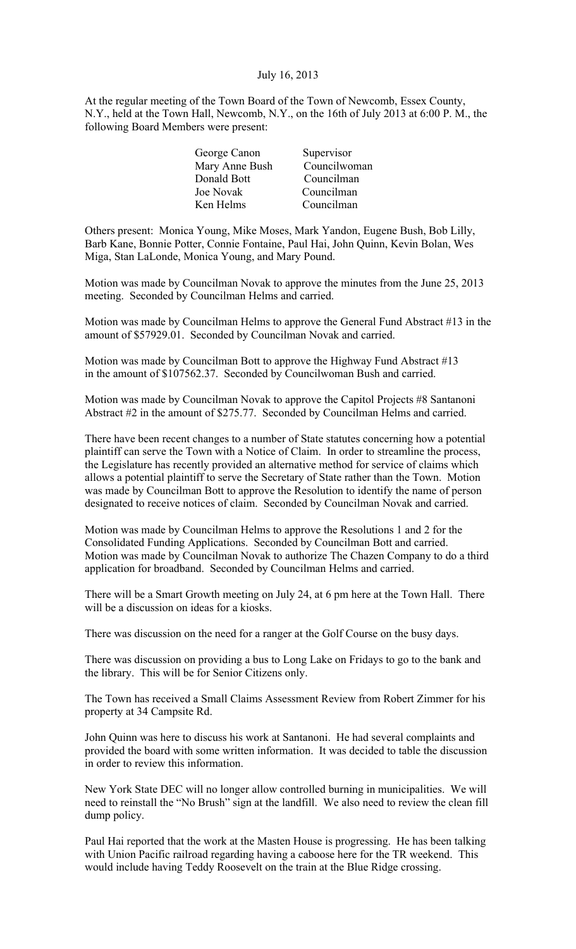## July 16, 2013

At the regular meeting of the Town Board of the Town of Newcomb, Essex County, N.Y., held at the Town Hall, Newcomb, N.Y., on the 16th of July 2013 at 6:00 P. M., the following Board Members were present:

| Supervisor   |
|--------------|
| Councilwoman |
| Councilman   |
| Councilman   |
| Councilman   |
|              |

Others present: Monica Young, Mike Moses, Mark Yandon, Eugene Bush, Bob Lilly, Barb Kane, Bonnie Potter, Connie Fontaine, Paul Hai, John Quinn, Kevin Bolan, Wes Miga, Stan LaLonde, Monica Young, and Mary Pound.

Motion was made by Councilman Novak to approve the minutes from the June 25, 2013 meeting. Seconded by Councilman Helms and carried.

Motion was made by Councilman Helms to approve the General Fund Abstract #13 in the amount of \$57929.01. Seconded by Councilman Novak and carried.

Motion was made by Councilman Bott to approve the Highway Fund Abstract #13 in the amount of \$107562.37. Seconded by Councilwoman Bush and carried.

Motion was made by Councilman Novak to approve the Capitol Projects #8 Santanoni Abstract #2 in the amount of \$275.77. Seconded by Councilman Helms and carried.

There have been recent changes to a number of State statutes concerning how a potential plaintiff can serve the Town with a Notice of Claim. In order to streamline the process, the Legislature has recently provided an alternative method for service of claims which allows a potential plaintiff to serve the Secretary of State rather than the Town. Motion was made by Councilman Bott to approve the Resolution to identify the name of person designated to receive notices of claim. Seconded by Councilman Novak and carried.

Motion was made by Councilman Helms to approve the Resolutions 1 and 2 for the Consolidated Funding Applications. Seconded by Councilman Bott and carried. Motion was made by Councilman Novak to authorize The Chazen Company to do a third application for broadband. Seconded by Councilman Helms and carried.

There will be a Smart Growth meeting on July 24, at 6 pm here at the Town Hall. There will be a discussion on ideas for a kiosks.

There was discussion on the need for a ranger at the Golf Course on the busy days.

There was discussion on providing a bus to Long Lake on Fridays to go to the bank and the library. This will be for Senior Citizens only.

The Town has received a Small Claims Assessment Review from Robert Zimmer for his property at 34 Campsite Rd.

John Quinn was here to discuss his work at Santanoni. He had several complaints and provided the board with some written information. It was decided to table the discussion in order to review this information.

New York State DEC will no longer allow controlled burning in municipalities. We will need to reinstall the "No Brush" sign at the landfill. We also need to review the clean fill dump policy.

Paul Hai reported that the work at the Masten House is progressing. He has been talking with Union Pacific railroad regarding having a caboose here for the TR weekend. This would include having Teddy Roosevelt on the train at the Blue Ridge crossing.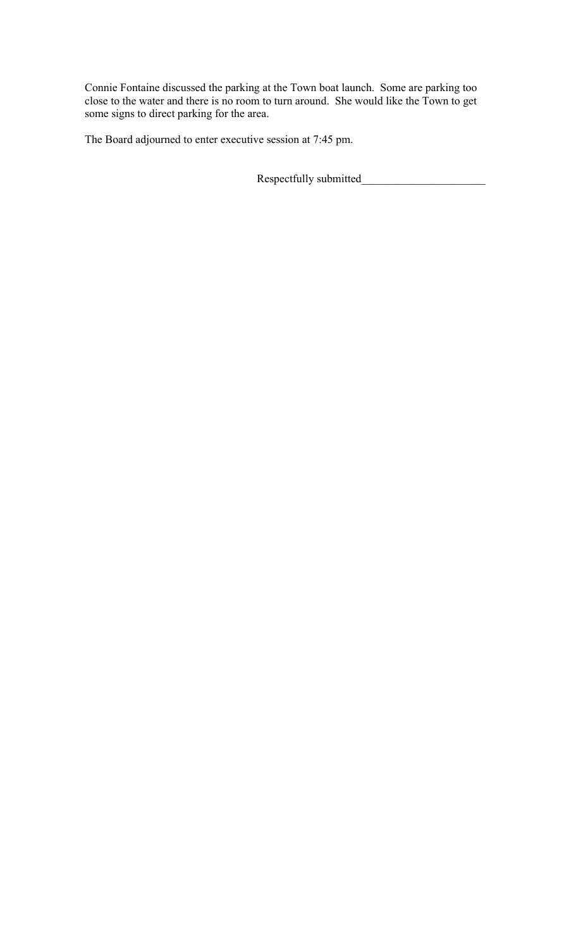Connie Fontaine discussed the parking at the Town boat launch. Some are parking too close to the water and there is no room to turn around. She would like the Town to get some signs to direct parking for the area.

The Board adjourned to enter executive session at 7:45 pm.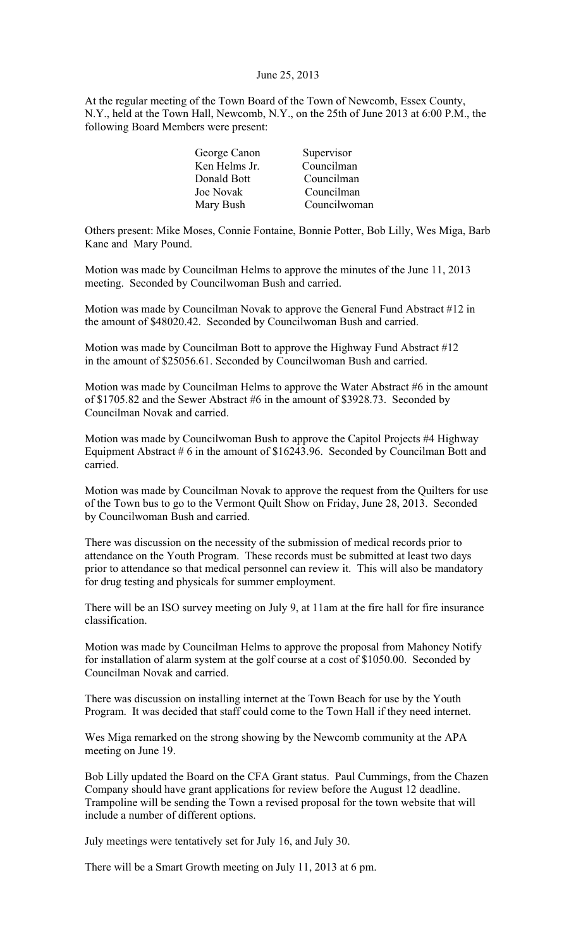#### June 25, 2013

At the regular meeting of the Town Board of the Town of Newcomb, Essex County, N.Y., held at the Town Hall, Newcomb, N.Y., on the 25th of June 2013 at 6:00 P.M., the following Board Members were present:

| George Canon  | Supervisor   |
|---------------|--------------|
| Ken Helms Jr. | Councilman   |
| Donald Bott   | Councilman   |
| Joe Novak     | Councilman   |
| Mary Bush     | Councilwoman |

Others present: Mike Moses, Connie Fontaine, Bonnie Potter, Bob Lilly, Wes Miga, Barb Kane and Mary Pound.

Motion was made by Councilman Helms to approve the minutes of the June 11, 2013 meeting. Seconded by Councilwoman Bush and carried.

Motion was made by Councilman Novak to approve the General Fund Abstract #12 in the amount of \$48020.42. Seconded by Councilwoman Bush and carried.

Motion was made by Councilman Bott to approve the Highway Fund Abstract #12 in the amount of \$25056.61. Seconded by Councilwoman Bush and carried.

Motion was made by Councilman Helms to approve the Water Abstract #6 in the amount of \$1705.82 and the Sewer Abstract #6 in the amount of \$3928.73. Seconded by Councilman Novak and carried.

Motion was made by Councilwoman Bush to approve the Capitol Projects #4 Highway Equipment Abstract  $# 6$  in the amount of \$16243.96. Seconded by Councilman Bott and carried.

Motion was made by Councilman Novak to approve the request from the Quilters for use of the Town bus to go to the Vermont Quilt Show on Friday, June 28, 2013. Seconded by Councilwoman Bush and carried.

There was discussion on the necessity of the submission of medical records prior to attendance on the Youth Program. These records must be submitted at least two days prior to attendance so that medical personnel can review it. This will also be mandatory for drug testing and physicals for summer employment.

There will be an ISO survey meeting on July 9, at 11am at the fire hall for fire insurance classification.

Motion was made by Councilman Helms to approve the proposal from Mahoney Notify for installation of alarm system at the golf course at a cost of \$1050.00. Seconded by Councilman Novak and carried.

There was discussion on installing internet at the Town Beach for use by the Youth Program. It was decided that staff could come to the Town Hall if they need internet.

Wes Miga remarked on the strong showing by the Newcomb community at the APA meeting on June 19.

Bob Lilly updated the Board on the CFA Grant status. Paul Cummings, from the Chazen Company should have grant applications for review before the August 12 deadline. Trampoline will be sending the Town a revised proposal for the town website that will include a number of different options.

July meetings were tentatively set for July 16, and July 30.

There will be a Smart Growth meeting on July 11, 2013 at 6 pm.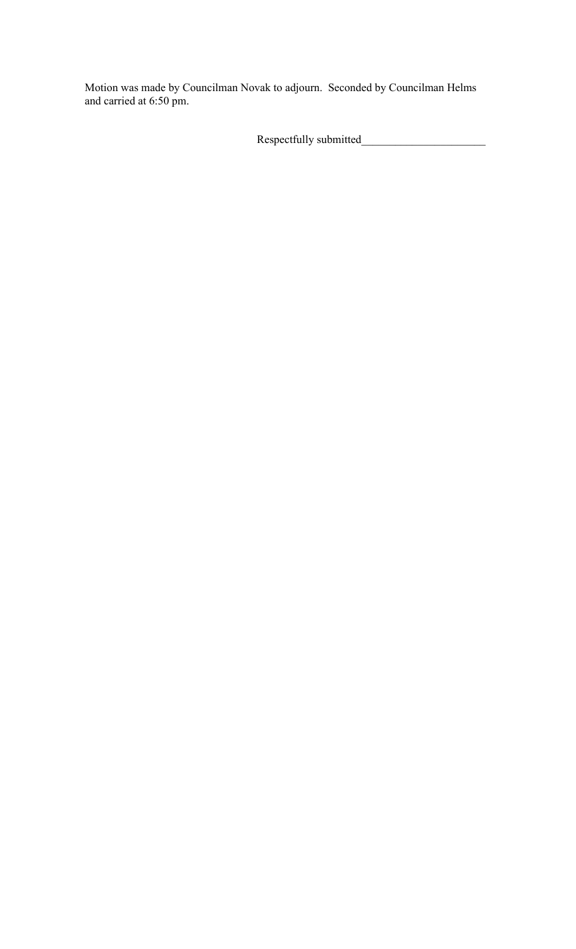Motion was made by Councilman Novak to adjourn. Seconded by Councilman Helms and carried at 6:50 pm.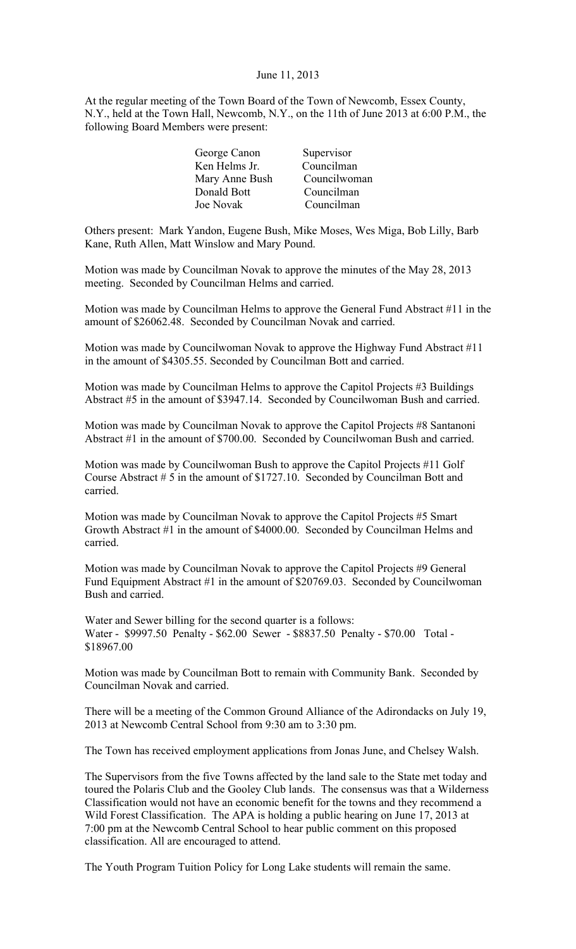#### June 11, 2013

At the regular meeting of the Town Board of the Town of Newcomb, Essex County, N.Y., held at the Town Hall, Newcomb, N.Y., on the 11th of June 2013 at 6:00 P.M., the following Board Members were present:

| George Canon   | Supervisor   |
|----------------|--------------|
| Ken Helms Jr.  | Councilman   |
| Mary Anne Bush | Councilwoman |
| Donald Bott    | Councilman   |
| Joe Novak      | Councilman   |

Others present: Mark Yandon, Eugene Bush, Mike Moses, Wes Miga, Bob Lilly, Barb Kane, Ruth Allen, Matt Winslow and Mary Pound.

Motion was made by Councilman Novak to approve the minutes of the May 28, 2013 meeting. Seconded by Councilman Helms and carried.

Motion was made by Councilman Helms to approve the General Fund Abstract #11 in the amount of \$26062.48. Seconded by Councilman Novak and carried.

Motion was made by Councilwoman Novak to approve the Highway Fund Abstract #11 in the amount of \$4305.55. Seconded by Councilman Bott and carried.

Motion was made by Councilman Helms to approve the Capitol Projects #3 Buildings Abstract #5 in the amount of \$3947.14. Seconded by Councilwoman Bush and carried.

Motion was made by Councilman Novak to approve the Capitol Projects #8 Santanoni Abstract #1 in the amount of \$700.00. Seconded by Councilwoman Bush and carried.

Motion was made by Councilwoman Bush to approve the Capitol Projects #11 Golf Course Abstract # 5 in the amount of \$1727.10. Seconded by Councilman Bott and carried.

Motion was made by Councilman Novak to approve the Capitol Projects #5 Smart Growth Abstract #1 in the amount of \$4000.00. Seconded by Councilman Helms and carried.

Motion was made by Councilman Novak to approve the Capitol Projects #9 General Fund Equipment Abstract #1 in the amount of \$20769.03. Seconded by Councilwoman Bush and carried.

Water and Sewer billing for the second quarter is a follows: Water - \$9997.50 Penalty - \$62.00 Sewer - \$8837.50 Penalty - \$70.00 Total - \$18967.00

Motion was made by Councilman Bott to remain with Community Bank. Seconded by Councilman Novak and carried.

There will be a meeting of the Common Ground Alliance of the Adirondacks on July 19, 2013 at Newcomb Central School from 9:30 am to 3:30 pm.

The Town has received employment applications from Jonas June, and Chelsey Walsh.

The Supervisors from the five Towns affected by the land sale to the State met today and toured the Polaris Club and the Gooley Club lands. The consensus was that a Wilderness Classification would not have an economic benefit for the towns and they recommend a Wild Forest Classification. The APA is holding a public hearing on June 17, 2013 at 7:00 pm at the Newcomb Central School to hear public comment on this proposed classification. All are encouraged to attend.

The Youth Program Tuition Policy for Long Lake students will remain the same.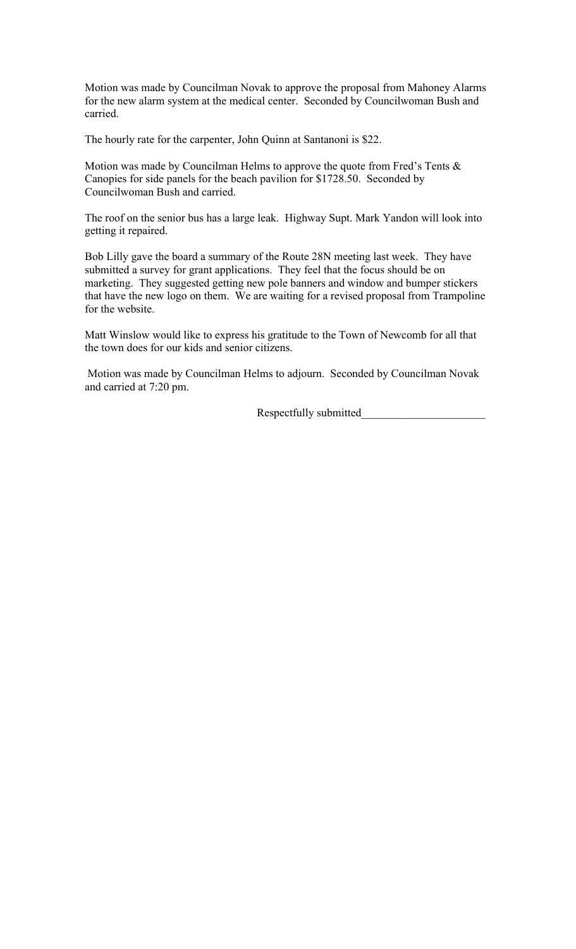Motion was made by Councilman Novak to approve the proposal from Mahoney Alarms for the new alarm system at the medical center. Seconded by Councilwoman Bush and carried.

The hourly rate for the carpenter, John Quinn at Santanoni is \$22.

Motion was made by Councilman Helms to approve the quote from Fred's Tents & Canopies for side panels for the beach pavilion for \$1728.50. Seconded by Councilwoman Bush and carried.

The roof on the senior bus has a large leak. Highway Supt. Mark Yandon will look into getting it repaired.

Bob Lilly gave the board a summary of the Route 28N meeting last week. They have submitted a survey for grant applications. They feel that the focus should be on marketing. They suggested getting new pole banners and window and bumper stickers that have the new logo on them. We are waiting for a revised proposal from Trampoline for the website.

Matt Winslow would like to express his gratitude to the Town of Newcomb for all that the town does for our kids and senior citizens.

 Motion was made by Councilman Helms to adjourn. Seconded by Councilman Novak and carried at 7:20 pm.

Respectfully submitted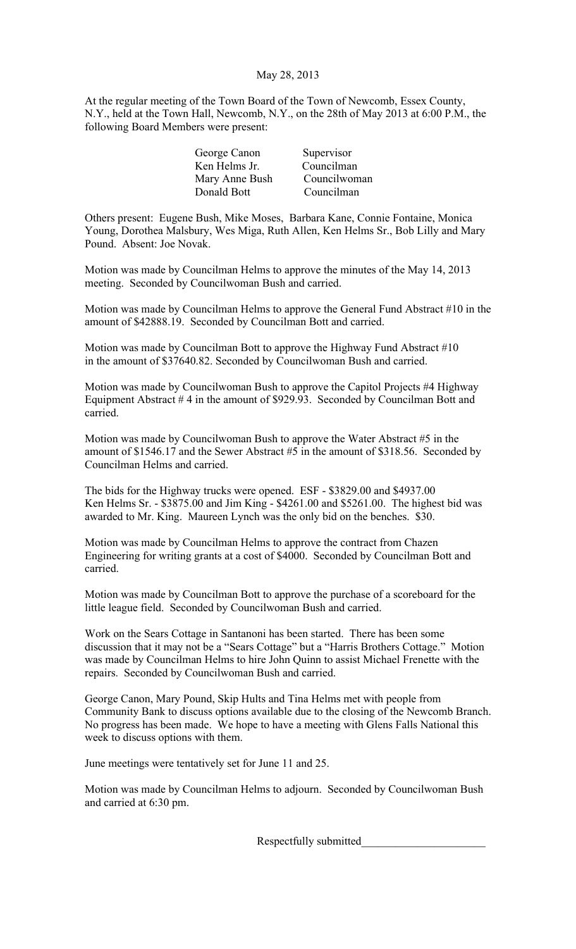# May 28, 2013

At the regular meeting of the Town Board of the Town of Newcomb, Essex County, N.Y., held at the Town Hall, Newcomb, N.Y., on the 28th of May 2013 at 6:00 P.M., the following Board Members were present:

| George Canon   | Supervisor   |
|----------------|--------------|
| Ken Helms Jr.  | Councilman   |
| Mary Anne Bush | Councilwoman |
| Donald Bott    | Councilman   |

Others present: Eugene Bush, Mike Moses, Barbara Kane, Connie Fontaine, Monica Young, Dorothea Malsbury, Wes Miga, Ruth Allen, Ken Helms Sr., Bob Lilly and Mary Pound. Absent: Joe Novak.

Motion was made by Councilman Helms to approve the minutes of the May 14, 2013 meeting. Seconded by Councilwoman Bush and carried.

Motion was made by Councilman Helms to approve the General Fund Abstract #10 in the amount of \$42888.19. Seconded by Councilman Bott and carried.

Motion was made by Councilman Bott to approve the Highway Fund Abstract #10 in the amount of \$37640.82. Seconded by Councilwoman Bush and carried.

Motion was made by Councilwoman Bush to approve the Capitol Projects #4 Highway Equipment Abstract # 4 in the amount of \$929.93. Seconded by Councilman Bott and carried.

Motion was made by Councilwoman Bush to approve the Water Abstract #5 in the amount of \$1546.17 and the Sewer Abstract #5 in the amount of \$318.56. Seconded by Councilman Helms and carried.

The bids for the Highway trucks were opened. ESF - \$3829.00 and \$4937.00 Ken Helms Sr. - \$3875.00 and Jim King - \$4261.00 and \$5261.00. The highest bid was awarded to Mr. King. Maureen Lynch was the only bid on the benches. \$30.

Motion was made by Councilman Helms to approve the contract from Chazen Engineering for writing grants at a cost of \$4000. Seconded by Councilman Bott and carried.

Motion was made by Councilman Bott to approve the purchase of a scoreboard for the little league field. Seconded by Councilwoman Bush and carried.

Work on the Sears Cottage in Santanoni has been started. There has been some discussion that it may not be a "Sears Cottage" but a "Harris Brothers Cottage." Motion was made by Councilman Helms to hire John Quinn to assist Michael Frenette with the repairs. Seconded by Councilwoman Bush and carried.

George Canon, Mary Pound, Skip Hults and Tina Helms met with people from Community Bank to discuss options available due to the closing of the Newcomb Branch. No progress has been made. We hope to have a meeting with Glens Falls National this week to discuss options with them.

June meetings were tentatively set for June 11 and 25.

Motion was made by Councilman Helms to adjourn. Seconded by Councilwoman Bush and carried at 6:30 pm.

Respectfully submitted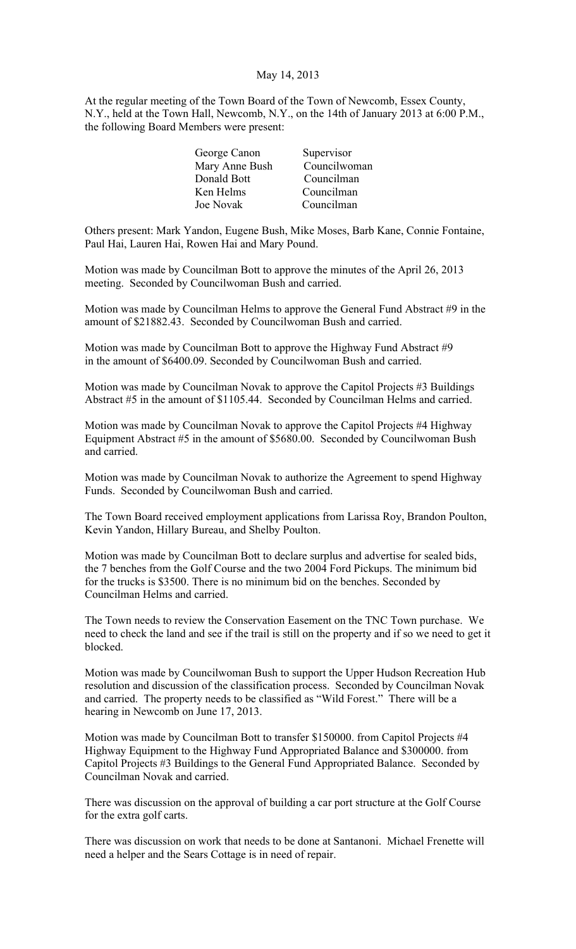## May 14, 2013

At the regular meeting of the Town Board of the Town of Newcomb, Essex County, N.Y., held at the Town Hall, Newcomb, N.Y., on the 14th of January 2013 at 6:00 P.M., the following Board Members were present:

| George Canon   | Supervisor   |
|----------------|--------------|
| Mary Anne Bush | Councilwoman |
| Donald Bott    | Councilman   |
| Ken Helms      | Councilman   |
| Joe Novak      | Councilman   |
|                |              |

Others present: Mark Yandon, Eugene Bush, Mike Moses, Barb Kane, Connie Fontaine, Paul Hai, Lauren Hai, Rowen Hai and Mary Pound.

Motion was made by Councilman Bott to approve the minutes of the April 26, 2013 meeting. Seconded by Councilwoman Bush and carried.

Motion was made by Councilman Helms to approve the General Fund Abstract #9 in the amount of \$21882.43. Seconded by Councilwoman Bush and carried.

Motion was made by Councilman Bott to approve the Highway Fund Abstract #9 in the amount of \$6400.09. Seconded by Councilwoman Bush and carried.

Motion was made by Councilman Novak to approve the Capitol Projects #3 Buildings Abstract #5 in the amount of \$1105.44. Seconded by Councilman Helms and carried.

Motion was made by Councilman Novak to approve the Capitol Projects #4 Highway Equipment Abstract #5 in the amount of \$5680.00. Seconded by Councilwoman Bush and carried.

Motion was made by Councilman Novak to authorize the Agreement to spend Highway Funds. Seconded by Councilwoman Bush and carried.

The Town Board received employment applications from Larissa Roy, Brandon Poulton, Kevin Yandon, Hillary Bureau, and Shelby Poulton.

Motion was made by Councilman Bott to declare surplus and advertise for sealed bids, the 7 benches from the Golf Course and the two 2004 Ford Pickups. The minimum bid for the trucks is \$3500. There is no minimum bid on the benches. Seconded by Councilman Helms and carried.

The Town needs to review the Conservation Easement on the TNC Town purchase. We need to check the land and see if the trail is still on the property and if so we need to get it blocked.

Motion was made by Councilwoman Bush to support the Upper Hudson Recreation Hub resolution and discussion of the classification process. Seconded by Councilman Novak and carried. The property needs to be classified as "Wild Forest." There will be a hearing in Newcomb on June 17, 2013.

Motion was made by Councilman Bott to transfer \$150000. from Capitol Projects #4 Highway Equipment to the Highway Fund Appropriated Balance and \$300000. from Capitol Projects #3 Buildings to the General Fund Appropriated Balance. Seconded by Councilman Novak and carried.

There was discussion on the approval of building a car port structure at the Golf Course for the extra golf carts.

There was discussion on work that needs to be done at Santanoni. Michael Frenette will need a helper and the Sears Cottage is in need of repair.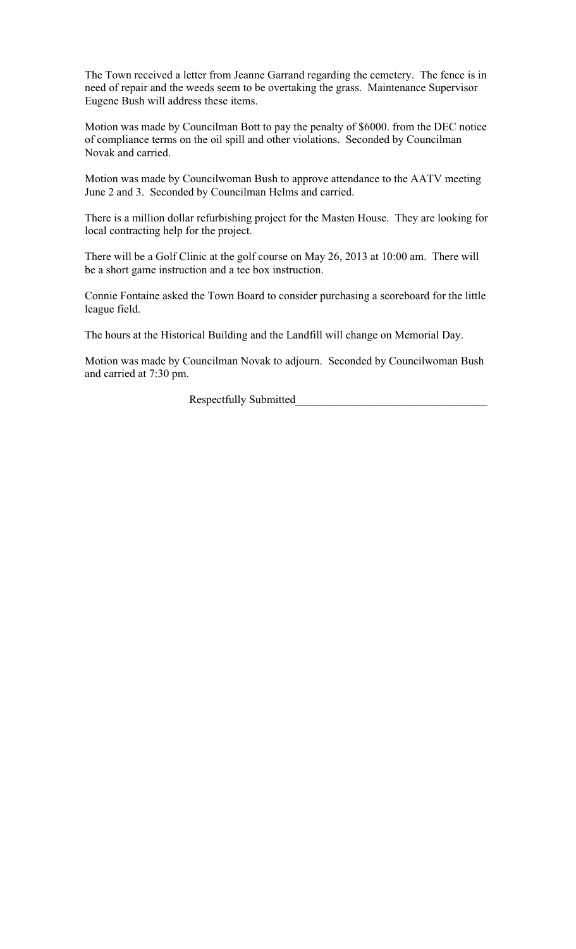The Town received a letter from Jeanne Garrand regarding the cemetery. The fence is in need of repair and the weeds seem to be overtaking the grass. Maintenance Supervisor Eugene Bush will address these items.

Motion was made by Councilman Bott to pay the penalty of \$6000. from the DEC notice of compliance terms on the oil spill and other violations. Seconded by Councilman Novak and carried.

Motion was made by Councilwoman Bush to approve attendance to the AATV meeting June 2 and 3. Seconded by Councilman Helms and carried.

There is a million dollar refurbishing project for the Masten House. They are looking for local contracting help for the project.

There will be a Golf Clinic at the golf course on May 26, 2013 at 10:00 am. There will be a short game instruction and a tee box instruction.

Connie Fontaine asked the Town Board to consider purchasing a scoreboard for the little league field.

The hours at the Historical Building and the Landfill will change on Memorial Day.

Motion was made by Councilman Novak to adjourn. Seconded by Councilwoman Bush and carried at 7:30 pm.

Respectfully Submitted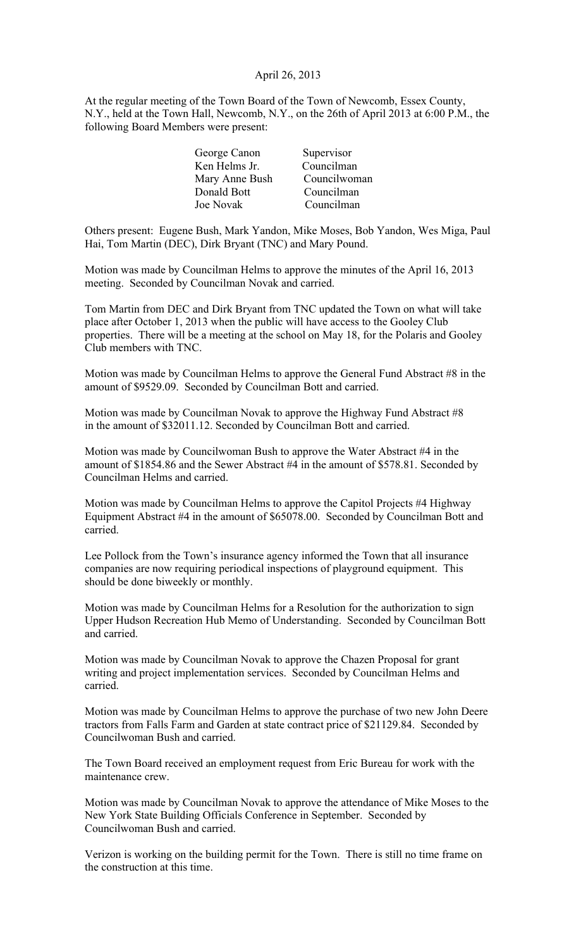## April 26, 2013

At the regular meeting of the Town Board of the Town of Newcomb, Essex County, N.Y., held at the Town Hall, Newcomb, N.Y., on the 26th of April 2013 at 6:00 P.M., the following Board Members were present:

| George Canon   | Supervisor   |
|----------------|--------------|
| Ken Helms Jr.  | Councilman   |
| Mary Anne Bush | Councilwoman |
| Donald Bott    | Councilman   |
| Joe Novak      | Councilman   |

Others present: Eugene Bush, Mark Yandon, Mike Moses, Bob Yandon, Wes Miga, Paul Hai, Tom Martin (DEC), Dirk Bryant (TNC) and Mary Pound.

Motion was made by Councilman Helms to approve the minutes of the April 16, 2013 meeting. Seconded by Councilman Novak and carried.

Tom Martin from DEC and Dirk Bryant from TNC updated the Town on what will take place after October 1, 2013 when the public will have access to the Gooley Club properties. There will be a meeting at the school on May 18, for the Polaris and Gooley Club members with TNC.

Motion was made by Councilman Helms to approve the General Fund Abstract #8 in the amount of \$9529.09. Seconded by Councilman Bott and carried.

Motion was made by Councilman Novak to approve the Highway Fund Abstract #8 in the amount of \$32011.12. Seconded by Councilman Bott and carried.

Motion was made by Councilwoman Bush to approve the Water Abstract #4 in the amount of \$1854.86 and the Sewer Abstract #4 in the amount of \$578.81. Seconded by Councilman Helms and carried.

Motion was made by Councilman Helms to approve the Capitol Projects #4 Highway Equipment Abstract #4 in the amount of \$65078.00. Seconded by Councilman Bott and carried.

Lee Pollock from the Town's insurance agency informed the Town that all insurance companies are now requiring periodical inspections of playground equipment. This should be done biweekly or monthly.

Motion was made by Councilman Helms for a Resolution for the authorization to sign Upper Hudson Recreation Hub Memo of Understanding. Seconded by Councilman Bott and carried.

Motion was made by Councilman Novak to approve the Chazen Proposal for grant writing and project implementation services. Seconded by Councilman Helms and carried.

Motion was made by Councilman Helms to approve the purchase of two new John Deere tractors from Falls Farm and Garden at state contract price of \$21129.84. Seconded by Councilwoman Bush and carried.

The Town Board received an employment request from Eric Bureau for work with the maintenance crew.

Motion was made by Councilman Novak to approve the attendance of Mike Moses to the New York State Building Officials Conference in September. Seconded by Councilwoman Bush and carried.

Verizon is working on the building permit for the Town. There is still no time frame on the construction at this time.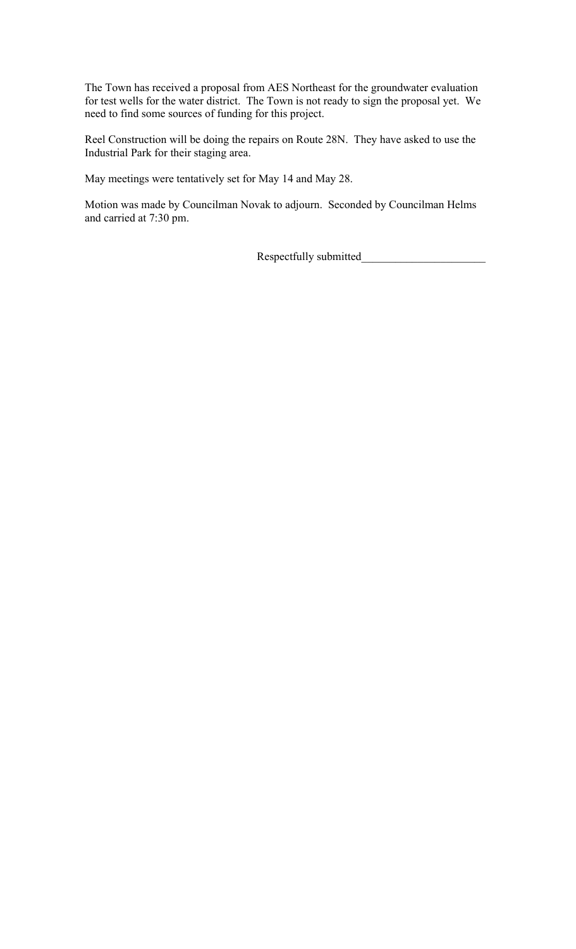The Town has received a proposal from AES Northeast for the groundwater evaluation for test wells for the water district. The Town is not ready to sign the proposal yet. We need to find some sources of funding for this project.

Reel Construction will be doing the repairs on Route 28N. They have asked to use the Industrial Park for their staging area.

May meetings were tentatively set for May 14 and May 28.

Motion was made by Councilman Novak to adjourn. Seconded by Councilman Helms and carried at 7:30 pm.

Respectfully submitted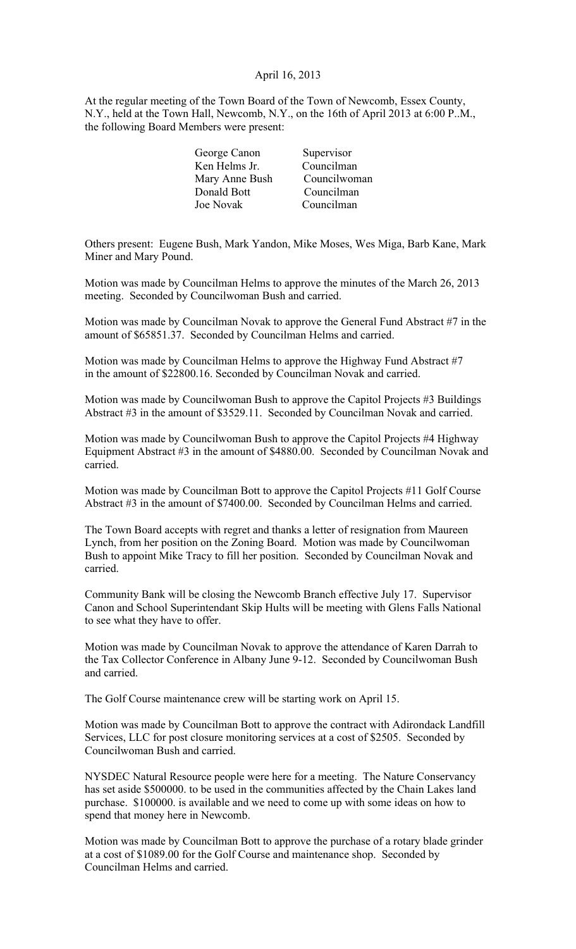## April 16, 2013

At the regular meeting of the Town Board of the Town of Newcomb, Essex County, N.Y., held at the Town Hall, Newcomb, N.Y., on the 16th of April 2013 at 6:00 P..M., the following Board Members were present:

| George Canon   | Supervisor   |
|----------------|--------------|
| Ken Helms Jr.  | Councilman   |
| Mary Anne Bush | Councilwoman |
| Donald Bott    | Councilman   |
| Joe Novak      | Councilman   |
|                |              |

Others present: Eugene Bush, Mark Yandon, Mike Moses, Wes Miga, Barb Kane, Mark Miner and Mary Pound.

Motion was made by Councilman Helms to approve the minutes of the March 26, 2013 meeting. Seconded by Councilwoman Bush and carried.

Motion was made by Councilman Novak to approve the General Fund Abstract #7 in the amount of \$65851.37. Seconded by Councilman Helms and carried.

Motion was made by Councilman Helms to approve the Highway Fund Abstract #7 in the amount of \$22800.16. Seconded by Councilman Novak and carried.

Motion was made by Councilwoman Bush to approve the Capitol Projects #3 Buildings Abstract #3 in the amount of \$3529.11. Seconded by Councilman Novak and carried.

Motion was made by Councilwoman Bush to approve the Capitol Projects #4 Highway Equipment Abstract #3 in the amount of \$4880.00. Seconded by Councilman Novak and carried.

Motion was made by Councilman Bott to approve the Capitol Projects #11 Golf Course Abstract #3 in the amount of \$7400.00. Seconded by Councilman Helms and carried.

The Town Board accepts with regret and thanks a letter of resignation from Maureen Lynch, from her position on the Zoning Board. Motion was made by Councilwoman Bush to appoint Mike Tracy to fill her position. Seconded by Councilman Novak and carried.

Community Bank will be closing the Newcomb Branch effective July 17. Supervisor Canon and School Superintendant Skip Hults will be meeting with Glens Falls National to see what they have to offer.

Motion was made by Councilman Novak to approve the attendance of Karen Darrah to the Tax Collector Conference in Albany June 9-12. Seconded by Councilwoman Bush and carried.

The Golf Course maintenance crew will be starting work on April 15.

Motion was made by Councilman Bott to approve the contract with Adirondack Landfill Services, LLC for post closure monitoring services at a cost of \$2505. Seconded by Councilwoman Bush and carried.

NYSDEC Natural Resource people were here for a meeting. The Nature Conservancy has set aside \$500000. to be used in the communities affected by the Chain Lakes land purchase. \$100000. is available and we need to come up with some ideas on how to spend that money here in Newcomb.

Motion was made by Councilman Bott to approve the purchase of a rotary blade grinder at a cost of \$1089.00 for the Golf Course and maintenance shop. Seconded by Councilman Helms and carried.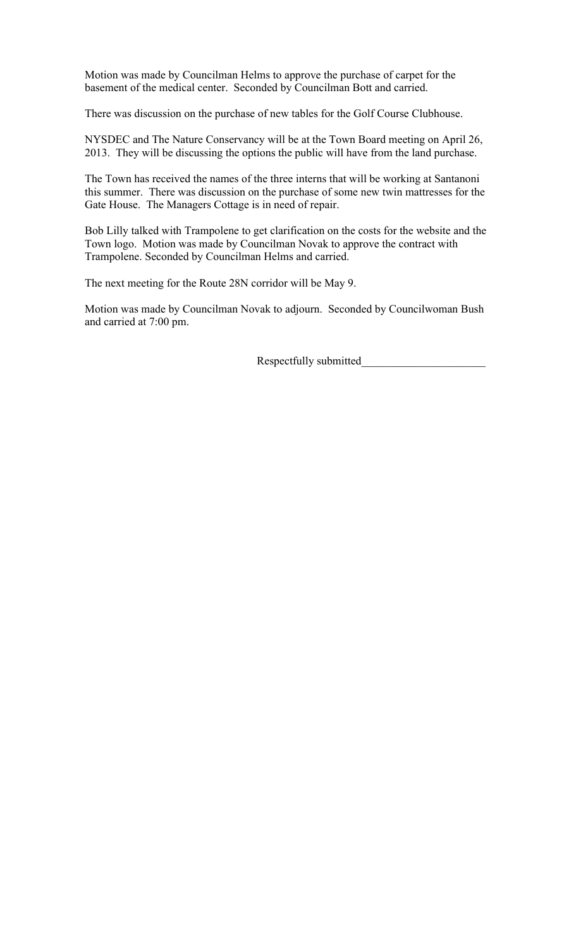Motion was made by Councilman Helms to approve the purchase of carpet for the basement of the medical center. Seconded by Councilman Bott and carried.

There was discussion on the purchase of new tables for the Golf Course Clubhouse.

NYSDEC and The Nature Conservancy will be at the Town Board meeting on April 26, 2013. They will be discussing the options the public will have from the land purchase.

The Town has received the names of the three interns that will be working at Santanoni this summer. There was discussion on the purchase of some new twin mattresses for the Gate House. The Managers Cottage is in need of repair.

Bob Lilly talked with Trampolene to get clarification on the costs for the website and the Town logo. Motion was made by Councilman Novak to approve the contract with Trampolene. Seconded by Councilman Helms and carried.

The next meeting for the Route 28N corridor will be May 9.

Motion was made by Councilman Novak to adjourn. Seconded by Councilwoman Bush and carried at 7:00 pm.

Respectfully submitted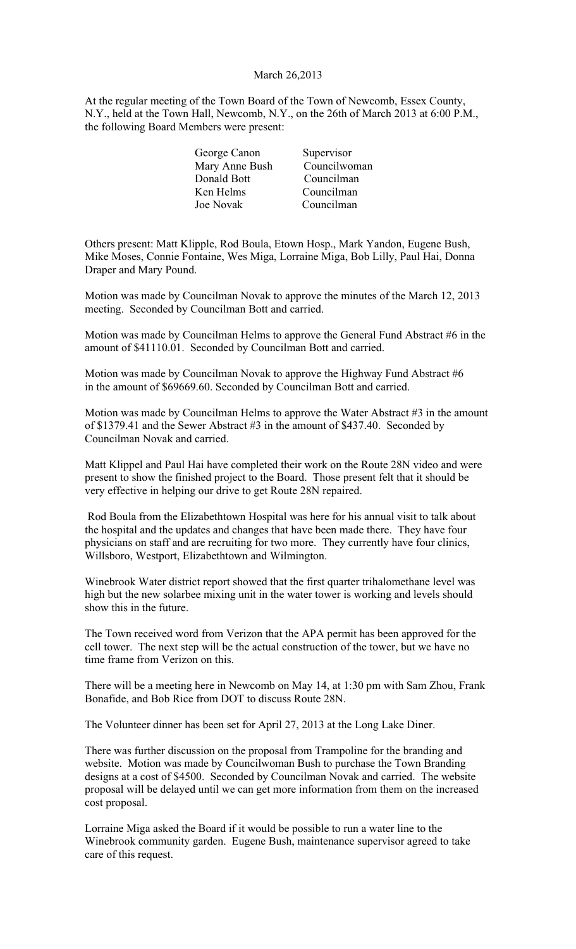## March 26,2013

At the regular meeting of the Town Board of the Town of Newcomb, Essex County, N.Y., held at the Town Hall, Newcomb, N.Y., on the 26th of March 2013 at 6:00 P.M., the following Board Members were present:

| George Canon   | Supervisor   |
|----------------|--------------|
| Mary Anne Bush | Councilwoman |
| Donald Bott    | Councilman   |
| Ken Helms      | Councilman   |
| Joe Novak      | Councilman   |
|                |              |

Others present: Matt Klipple, Rod Boula, Etown Hosp., Mark Yandon, Eugene Bush, Mike Moses, Connie Fontaine, Wes Miga, Lorraine Miga, Bob Lilly, Paul Hai, Donna Draper and Mary Pound.

Motion was made by Councilman Novak to approve the minutes of the March 12, 2013 meeting. Seconded by Councilman Bott and carried.

Motion was made by Councilman Helms to approve the General Fund Abstract #6 in the amount of \$41110.01. Seconded by Councilman Bott and carried.

Motion was made by Councilman Novak to approve the Highway Fund Abstract #6 in the amount of \$69669.60. Seconded by Councilman Bott and carried.

Motion was made by Councilman Helms to approve the Water Abstract #3 in the amount of \$1379.41 and the Sewer Abstract #3 in the amount of \$437.40. Seconded by Councilman Novak and carried.

Matt Klippel and Paul Hai have completed their work on the Route 28N video and were present to show the finished project to the Board. Those present felt that it should be very effective in helping our drive to get Route 28N repaired.

 Rod Boula from the Elizabethtown Hospital was here for his annual visit to talk about the hospital and the updates and changes that have been made there. They have four physicians on staff and are recruiting for two more. They currently have four clinics, Willsboro, Westport, Elizabethtown and Wilmington.

Winebrook Water district report showed that the first quarter trihalomethane level was high but the new solarbee mixing unit in the water tower is working and levels should show this in the future.

The Town received word from Verizon that the APA permit has been approved for the cell tower. The next step will be the actual construction of the tower, but we have no time frame from Verizon on this.

There will be a meeting here in Newcomb on May 14, at 1:30 pm with Sam Zhou, Frank Bonafide, and Bob Rice from DOT to discuss Route 28N.

The Volunteer dinner has been set for April 27, 2013 at the Long Lake Diner.

There was further discussion on the proposal from Trampoline for the branding and website. Motion was made by Councilwoman Bush to purchase the Town Branding designs at a cost of \$4500. Seconded by Councilman Novak and carried. The website proposal will be delayed until we can get more information from them on the increased cost proposal.

Lorraine Miga asked the Board if it would be possible to run a water line to the Winebrook community garden. Eugene Bush, maintenance supervisor agreed to take care of this request.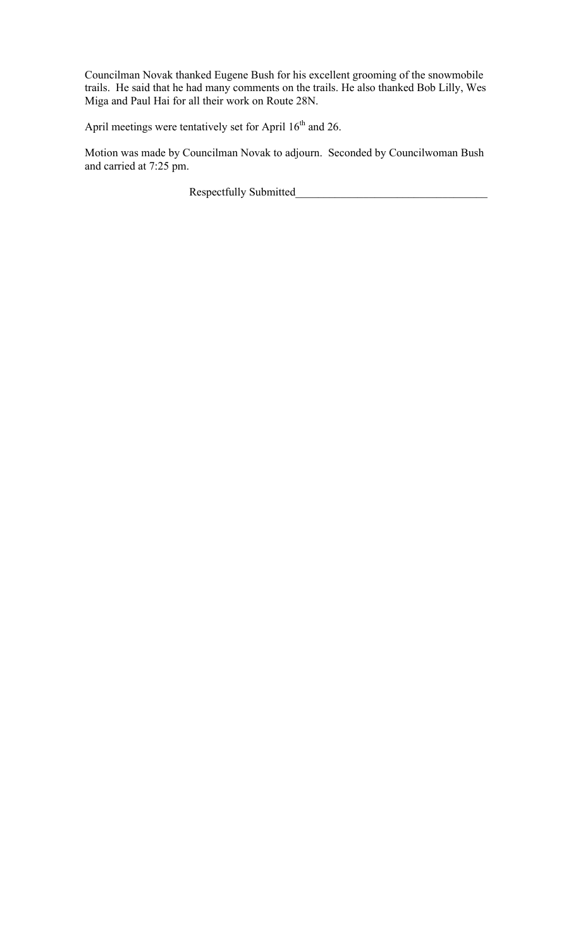Councilman Novak thanked Eugene Bush for his excellent grooming of the snowmobile trails. He said that he had many comments on the trails. He also thanked Bob Lilly, Wes Miga and Paul Hai for all their work on Route 28N.

April meetings were tentatively set for April 16<sup>th</sup> and 26.

Motion was made by Councilman Novak to adjourn. Seconded by Councilwoman Bush and carried at 7:25 pm.

Respectfully Submitted\_\_\_\_\_\_\_\_\_\_\_\_\_\_\_\_\_\_\_\_\_\_\_\_\_\_\_\_\_\_\_\_\_\_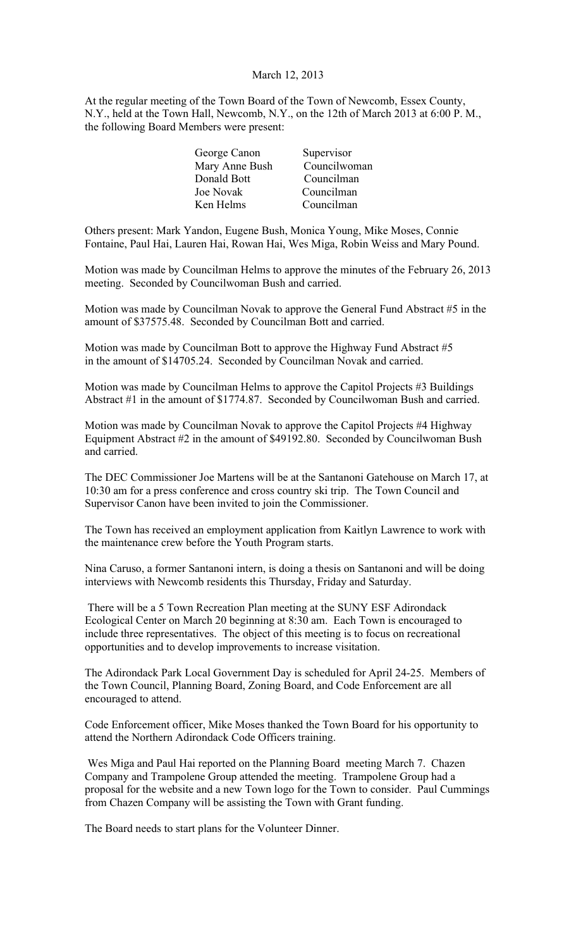## March 12, 2013

At the regular meeting of the Town Board of the Town of Newcomb, Essex County, N.Y., held at the Town Hall, Newcomb, N.Y., on the 12th of March 2013 at 6:00 P. M., the following Board Members were present:

| George Canon   | Supervisor   |
|----------------|--------------|
| Mary Anne Bush | Councilwoman |
| Donald Bott    | Councilman   |
| Joe Novak      | Councilman   |
| Ken Helms      | Councilman   |
|                |              |

Others present: Mark Yandon, Eugene Bush, Monica Young, Mike Moses, Connie Fontaine, Paul Hai, Lauren Hai, Rowan Hai, Wes Miga, Robin Weiss and Mary Pound.

Motion was made by Councilman Helms to approve the minutes of the February 26, 2013 meeting. Seconded by Councilwoman Bush and carried.

Motion was made by Councilman Novak to approve the General Fund Abstract #5 in the amount of \$37575.48. Seconded by Councilman Bott and carried.

Motion was made by Councilman Bott to approve the Highway Fund Abstract #5 in the amount of \$14705.24. Seconded by Councilman Novak and carried.

Motion was made by Councilman Helms to approve the Capitol Projects #3 Buildings Abstract #1 in the amount of \$1774.87. Seconded by Councilwoman Bush and carried.

Motion was made by Councilman Novak to approve the Capitol Projects #4 Highway Equipment Abstract #2 in the amount of \$49192.80. Seconded by Councilwoman Bush and carried.

The DEC Commissioner Joe Martens will be at the Santanoni Gatehouse on March 17, at 10:30 am for a press conference and cross country ski trip. The Town Council and Supervisor Canon have been invited to join the Commissioner.

The Town has received an employment application from Kaitlyn Lawrence to work with the maintenance crew before the Youth Program starts.

Nina Caruso, a former Santanoni intern, is doing a thesis on Santanoni and will be doing interviews with Newcomb residents this Thursday, Friday and Saturday.

 There will be a 5 Town Recreation Plan meeting at the SUNY ESF Adirondack Ecological Center on March 20 beginning at 8:30 am. Each Town is encouraged to include three representatives. The object of this meeting is to focus on recreational opportunities and to develop improvements to increase visitation.

The Adirondack Park Local Government Day is scheduled for April 24-25. Members of the Town Council, Planning Board, Zoning Board, and Code Enforcement are all encouraged to attend.

Code Enforcement officer, Mike Moses thanked the Town Board for his opportunity to attend the Northern Adirondack Code Officers training.

 Wes Miga and Paul Hai reported on the Planning Board meeting March 7. Chazen Company and Trampolene Group attended the meeting. Trampolene Group had a proposal for the website and a new Town logo for the Town to consider. Paul Cummings from Chazen Company will be assisting the Town with Grant funding.

The Board needs to start plans for the Volunteer Dinner.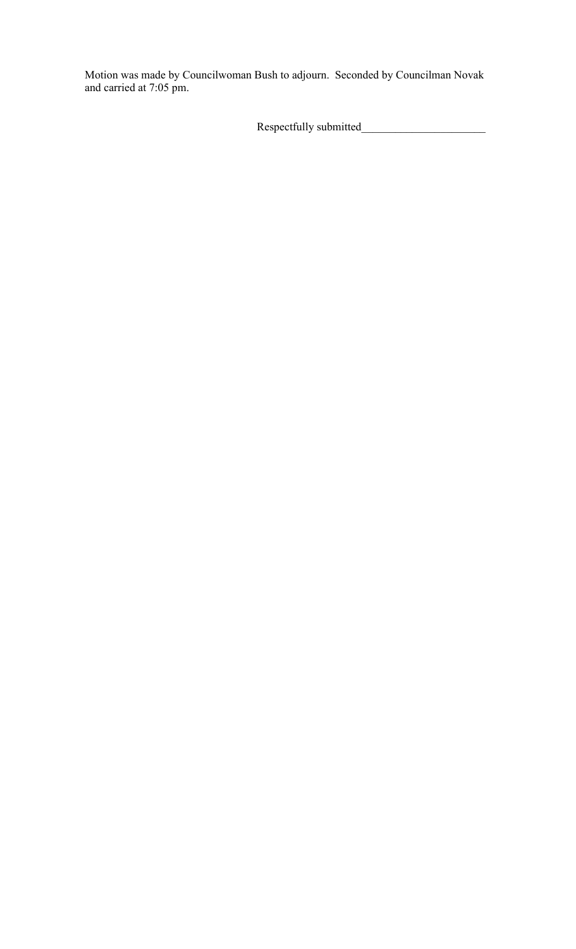Motion was made by Councilwoman Bush to adjourn. Seconded by Councilman Novak and carried at 7:05 pm.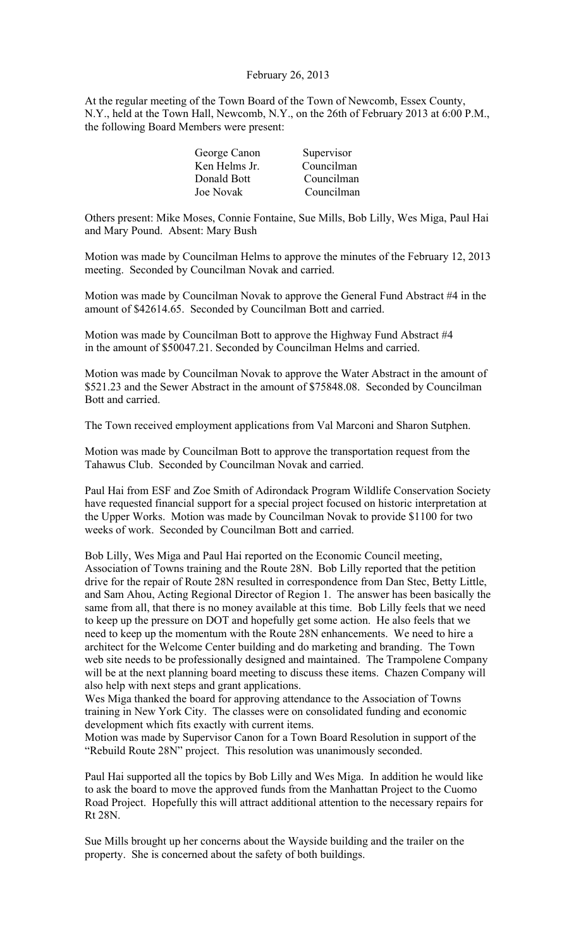## February 26, 2013

At the regular meeting of the Town Board of the Town of Newcomb, Essex County, N.Y., held at the Town Hall, Newcomb, N.Y., on the 26th of February 2013 at 6:00 P.M., the following Board Members were present:

| George Canon  | Supervisor |
|---------------|------------|
| Ken Helms Jr. | Councilman |
| Donald Bott   | Councilman |
| Joe Novak     | Councilman |

Others present: Mike Moses, Connie Fontaine, Sue Mills, Bob Lilly, Wes Miga, Paul Hai and Mary Pound. Absent: Mary Bush

Motion was made by Councilman Helms to approve the minutes of the February 12, 2013 meeting. Seconded by Councilman Novak and carried.

Motion was made by Councilman Novak to approve the General Fund Abstract #4 in the amount of \$42614.65. Seconded by Councilman Bott and carried.

Motion was made by Councilman Bott to approve the Highway Fund Abstract #4 in the amount of \$50047.21. Seconded by Councilman Helms and carried.

Motion was made by Councilman Novak to approve the Water Abstract in the amount of \$521.23 and the Sewer Abstract in the amount of \$75848.08. Seconded by Councilman Bott and carried.

The Town received employment applications from Val Marconi and Sharon Sutphen.

Motion was made by Councilman Bott to approve the transportation request from the Tahawus Club. Seconded by Councilman Novak and carried.

Paul Hai from ESF and Zoe Smith of Adirondack Program Wildlife Conservation Society have requested financial support for a special project focused on historic interpretation at the Upper Works. Motion was made by Councilman Novak to provide \$1100 for two weeks of work. Seconded by Councilman Bott and carried.

Bob Lilly, Wes Miga and Paul Hai reported on the Economic Council meeting, Association of Towns training and the Route 28N. Bob Lilly reported that the petition drive for the repair of Route 28N resulted in correspondence from Dan Stec, Betty Little, and Sam Ahou, Acting Regional Director of Region 1. The answer has been basically the same from all, that there is no money available at this time. Bob Lilly feels that we need to keep up the pressure on DOT and hopefully get some action. He also feels that we need to keep up the momentum with the Route 28N enhancements. We need to hire a architect for the Welcome Center building and do marketing and branding. The Town web site needs to be professionally designed and maintained. The Trampolene Company will be at the next planning board meeting to discuss these items. Chazen Company will also help with next steps and grant applications.

Wes Miga thanked the board for approving attendance to the Association of Towns training in New York City. The classes were on consolidated funding and economic development which fits exactly with current items.

Motion was made by Supervisor Canon for a Town Board Resolution in support of the "Rebuild Route 28N" project. This resolution was unanimously seconded.

Paul Hai supported all the topics by Bob Lilly and Wes Miga. In addition he would like to ask the board to move the approved funds from the Manhattan Project to the Cuomo Road Project. Hopefully this will attract additional attention to the necessary repairs for Rt 28N.

Sue Mills brought up her concerns about the Wayside building and the trailer on the property. She is concerned about the safety of both buildings.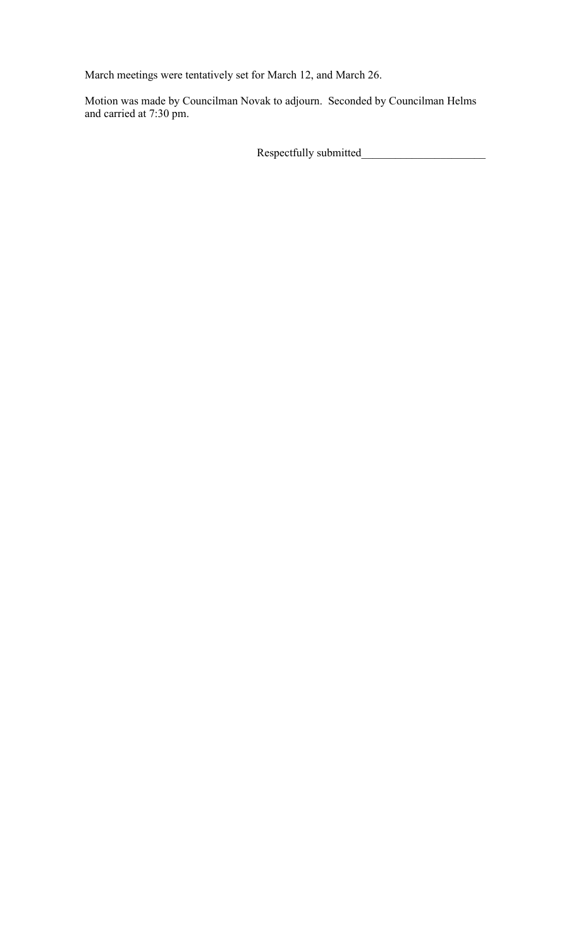March meetings were tentatively set for March 12, and March 26.

Motion was made by Councilman Novak to adjourn. Seconded by Councilman Helms and carried at 7:30 pm.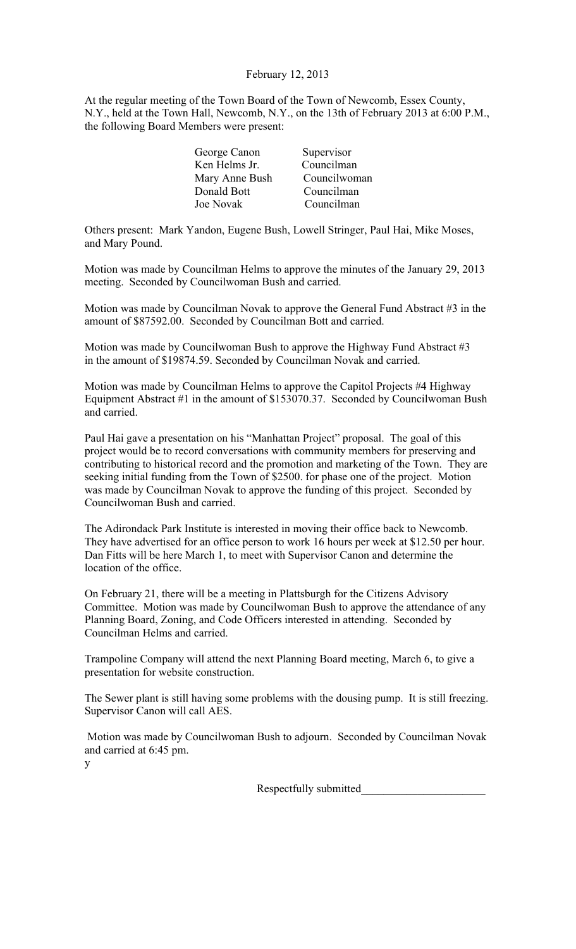# February 12, 2013

At the regular meeting of the Town Board of the Town of Newcomb, Essex County, N.Y., held at the Town Hall, Newcomb, N.Y., on the 13th of February 2013 at 6:00 P.M., the following Board Members were present:

| Supervisor   |
|--------------|
| Councilman   |
| Councilwoman |
| Councilman   |
| Councilman   |
|              |

Others present: Mark Yandon, Eugene Bush, Lowell Stringer, Paul Hai, Mike Moses, and Mary Pound.

Motion was made by Councilman Helms to approve the minutes of the January 29, 2013 meeting. Seconded by Councilwoman Bush and carried.

Motion was made by Councilman Novak to approve the General Fund Abstract #3 in the amount of \$87592.00. Seconded by Councilman Bott and carried.

Motion was made by Councilwoman Bush to approve the Highway Fund Abstract #3 in the amount of \$19874.59. Seconded by Councilman Novak and carried.

Motion was made by Councilman Helms to approve the Capitol Projects #4 Highway Equipment Abstract #1 in the amount of \$153070.37. Seconded by Councilwoman Bush and carried.

Paul Hai gave a presentation on his "Manhattan Project" proposal. The goal of this project would be to record conversations with community members for preserving and contributing to historical record and the promotion and marketing of the Town. They are seeking initial funding from the Town of \$2500. for phase one of the project. Motion was made by Councilman Novak to approve the funding of this project. Seconded by Councilwoman Bush and carried.

The Adirondack Park Institute is interested in moving their office back to Newcomb. They have advertised for an office person to work 16 hours per week at \$12.50 per hour. Dan Fitts will be here March 1, to meet with Supervisor Canon and determine the location of the office.

On February 21, there will be a meeting in Plattsburgh for the Citizens Advisory Committee. Motion was made by Councilwoman Bush to approve the attendance of any Planning Board, Zoning, and Code Officers interested in attending. Seconded by Councilman Helms and carried.

Trampoline Company will attend the next Planning Board meeting, March 6, to give a presentation for website construction.

The Sewer plant is still having some problems with the dousing pump. It is still freezing. Supervisor Canon will call AES.

 Motion was made by Councilwoman Bush to adjourn. Seconded by Councilman Novak and carried at 6:45 pm.

y

Respectfully submitted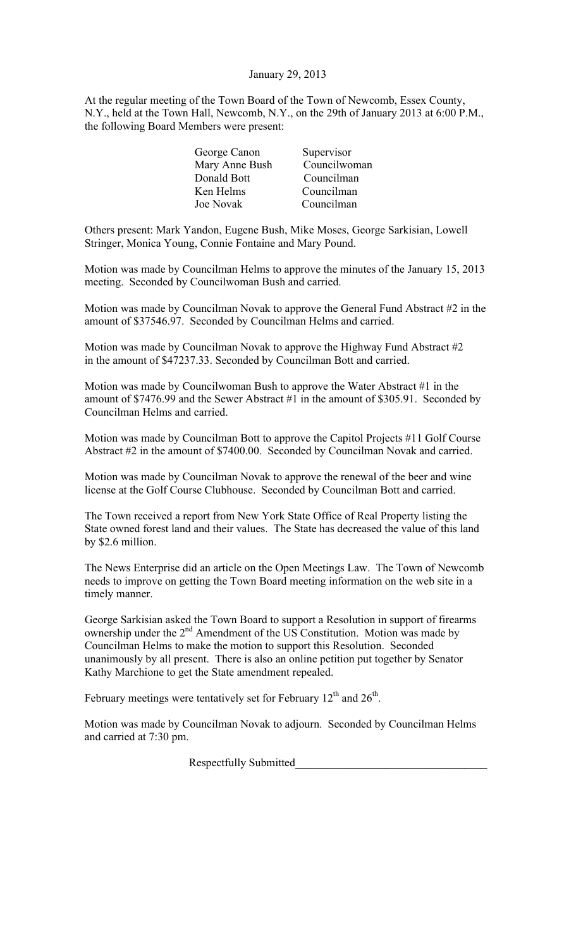## January 29, 2013

At the regular meeting of the Town Board of the Town of Newcomb, Essex County, N.Y., held at the Town Hall, Newcomb, N.Y., on the 29th of January 2013 at 6:00 P.M., the following Board Members were present:

| George Canon   | Supervisor   |
|----------------|--------------|
| Mary Anne Bush | Councilwoman |
| Donald Bott    | Councilman   |
| Ken Helms      | Councilman   |
| Joe Novak      | Councilman   |
|                |              |

Others present: Mark Yandon, Eugene Bush, Mike Moses, George Sarkisian, Lowell Stringer, Monica Young, Connie Fontaine and Mary Pound.

Motion was made by Councilman Helms to approve the minutes of the January 15, 2013 meeting. Seconded by Councilwoman Bush and carried.

Motion was made by Councilman Novak to approve the General Fund Abstract #2 in the amount of \$37546.97. Seconded by Councilman Helms and carried.

Motion was made by Councilman Novak to approve the Highway Fund Abstract #2 in the amount of \$47237.33. Seconded by Councilman Bott and carried.

Motion was made by Councilwoman Bush to approve the Water Abstract #1 in the amount of \$7476.99 and the Sewer Abstract #1 in the amount of \$305.91. Seconded by Councilman Helms and carried.

Motion was made by Councilman Bott to approve the Capitol Projects #11 Golf Course Abstract #2 in the amount of \$7400.00. Seconded by Councilman Novak and carried.

Motion was made by Councilman Novak to approve the renewal of the beer and wine license at the Golf Course Clubhouse. Seconded by Councilman Bott and carried.

The Town received a report from New York State Office of Real Property listing the State owned forest land and their values. The State has decreased the value of this land by \$2.6 million.

The News Enterprise did an article on the Open Meetings Law. The Town of Newcomb needs to improve on getting the Town Board meeting information on the web site in a timely manner.

George Sarkisian asked the Town Board to support a Resolution in support of firearms overge Burnstan asked and Town Board to support a resonance in support of from Councilman Helms to make the motion to support this Resolution. Seconded unanimously by all present. There is also an online petition put together by Senator Kathy Marchione to get the State amendment repealed.

February meetings were tentatively set for February 12<sup>th</sup> and 26<sup>th</sup>.

Motion was made by Councilman Novak to adjourn. Seconded by Councilman Helms and carried at 7:30 pm.

Respectfully Submitted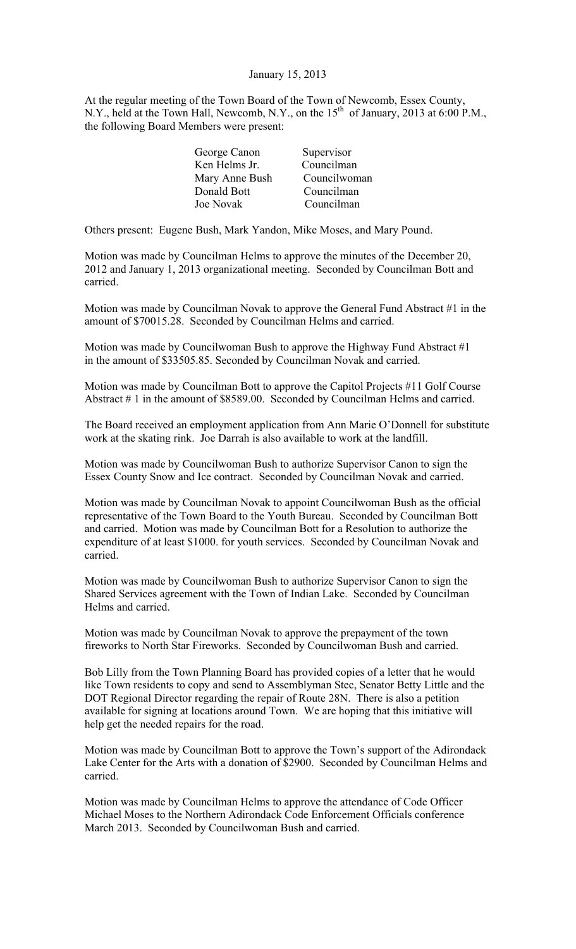#### January 15, 2013

At the regular meeting of the Town Board of the Town of Newcomb, Essex County, N.Y., held at the Town Hall, Newcomb, N.Y., on the  $15<sup>th</sup>$  of January, 2013 at 6:00 P.M., the following Board Members were present:

| George Canon   | Supervisor   |
|----------------|--------------|
| Ken Helms Jr.  | Councilman   |
| Mary Anne Bush | Councilwoman |
| Donald Bott    | Councilman   |
| Joe Novak      | Councilman   |
|                |              |

Others present: Eugene Bush, Mark Yandon, Mike Moses, and Mary Pound.

Motion was made by Councilman Helms to approve the minutes of the December 20, 2012 and January 1, 2013 organizational meeting. Seconded by Councilman Bott and carried.

Motion was made by Councilman Novak to approve the General Fund Abstract #1 in the amount of \$70015.28. Seconded by Councilman Helms and carried.

Motion was made by Councilwoman Bush to approve the Highway Fund Abstract #1 in the amount of \$33505.85. Seconded by Councilman Novak and carried.

Motion was made by Councilman Bott to approve the Capitol Projects #11 Golf Course Abstract # 1 in the amount of \$8589.00. Seconded by Councilman Helms and carried.

The Board received an employment application from Ann Marie O'Donnell for substitute work at the skating rink. Joe Darrah is also available to work at the landfill.

Motion was made by Councilwoman Bush to authorize Supervisor Canon to sign the Essex County Snow and Ice contract. Seconded by Councilman Novak and carried.

Motion was made by Councilman Novak to appoint Councilwoman Bush as the official representative of the Town Board to the Youth Bureau. Seconded by Councilman Bott and carried. Motion was made by Councilman Bott for a Resolution to authorize the expenditure of at least \$1000. for youth services. Seconded by Councilman Novak and carried.

Motion was made by Councilwoman Bush to authorize Supervisor Canon to sign the Shared Services agreement with the Town of Indian Lake. Seconded by Councilman Helms and carried.

Motion was made by Councilman Novak to approve the prepayment of the town fireworks to North Star Fireworks. Seconded by Councilwoman Bush and carried.

Bob Lilly from the Town Planning Board has provided copies of a letter that he would like Town residents to copy and send to Assemblyman Stec, Senator Betty Little and the DOT Regional Director regarding the repair of Route 28N. There is also a petition available for signing at locations around Town. We are hoping that this initiative will help get the needed repairs for the road.

Motion was made by Councilman Bott to approve the Town's support of the Adirondack Lake Center for the Arts with a donation of \$2900. Seconded by Councilman Helms and carried.

Motion was made by Councilman Helms to approve the attendance of Code Officer Michael Moses to the Northern Adirondack Code Enforcement Officials conference March 2013. Seconded by Councilwoman Bush and carried.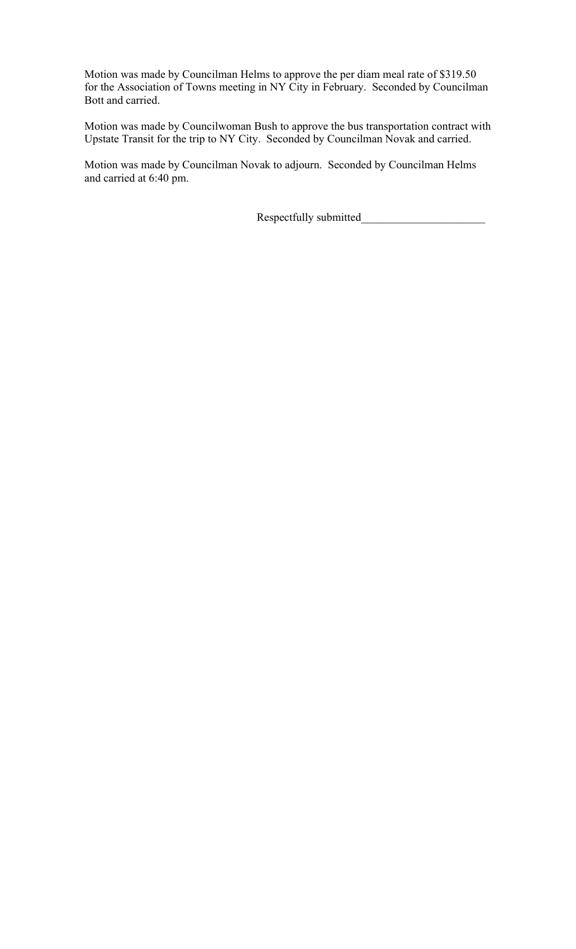Motion was made by Councilman Helms to approve the per diam meal rate of \$319.50 for the Association of Towns meeting in NY City in February. Seconded by Councilman Bott and carried.

Motion was made by Councilwoman Bush to approve the bus transportation contract with Upstate Transit for the trip to NY City. Seconded by Councilman Novak and carried.

Motion was made by Councilman Novak to adjourn. Seconded by Councilman Helms and carried at 6:40 pm.

Respectfully submitted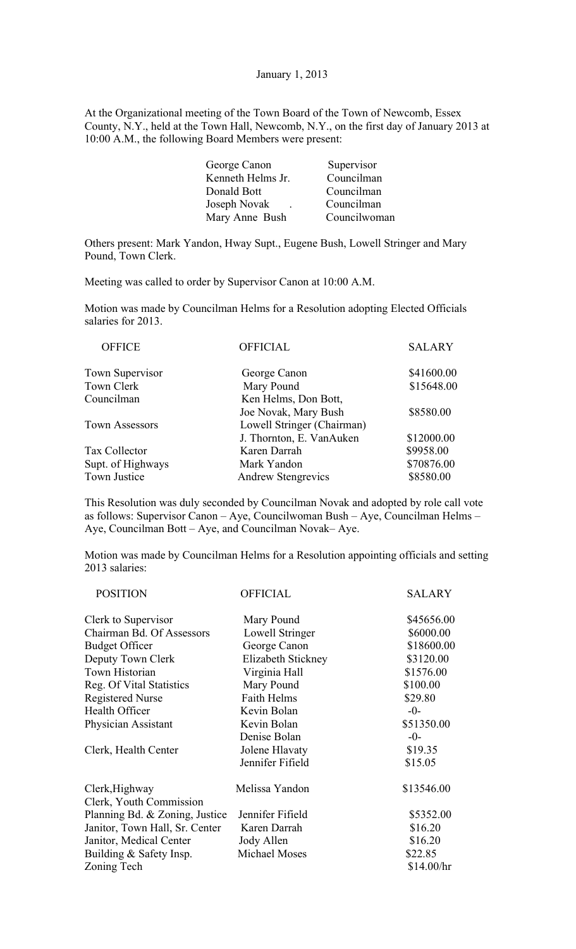### January 1, 2013

At the Organizational meeting of the Town Board of the Town of Newcomb, Essex County, N.Y., held at the Town Hall, Newcomb, N.Y., on the first day of January 2013 at 10:00 A.M., the following Board Members were present:

| Councilwoman |
|--------------|
|              |

Others present: Mark Yandon, Hway Supt., Eugene Bush, Lowell Stringer and Mary Pound, Town Clerk.

Meeting was called to order by Supervisor Canon at 10:00 A.M.

Motion was made by Councilman Helms for a Resolution adopting Elected Officials salaries for 2013.

| <b>OFFICE</b>          | <b>OFFICIAL</b>            | <b>SALARY</b> |
|------------------------|----------------------------|---------------|
| <b>Town Supervisor</b> | George Canon               | \$41600.00    |
| Town Clerk             | Mary Pound                 | \$15648.00    |
| Councilman             | Ken Helms, Don Bott,       |               |
|                        | Joe Novak, Mary Bush       | \$8580.00     |
| Town Assessors         | Lowell Stringer (Chairman) |               |
|                        | J. Thornton, E. VanAuken   | \$12000.00    |
| Tax Collector          | Karen Darrah               | \$9958.00     |
| Supt. of Highways      | Mark Yandon                | \$70876.00    |
| <b>Town Justice</b>    | <b>Andrew Stengrevics</b>  | \$8580.00     |

This Resolution was duly seconded by Councilman Novak and adopted by role call vote as follows: Supervisor Canon – Aye, Councilwoman Bush – Aye, Councilman Helms – Aye, Councilman Bott – Aye, and Councilman Novak– Aye.

Motion was made by Councilman Helms for a Resolution appointing officials and setting 2013 salaries:

| <b>POSITION</b>                | <b>OFFICIAL</b>    | <b>SALARY</b> |
|--------------------------------|--------------------|---------------|
| Clerk to Supervisor            | Mary Pound         | \$45656.00    |
| Chairman Bd. Of Assessors      | Lowell Stringer    | \$6000.00     |
| <b>Budget Officer</b>          | George Canon       | \$18600.00    |
| Deputy Town Clerk              | Elizabeth Stickney | \$3120.00     |
| Town Historian                 | Virginia Hall      | \$1576.00     |
| Reg. Of Vital Statistics       | Mary Pound         | \$100.00      |
| <b>Registered Nurse</b>        | <b>Faith Helms</b> | \$29.80       |
| Health Officer                 | Kevin Bolan        | $-0-$         |
| Physician Assistant            | Kevin Bolan        | \$51350.00    |
|                                | Denise Bolan       | $-0-$         |
| Clerk, Health Center           | Jolene Hlavaty     | \$19.35       |
|                                | Jennifer Fifield   | \$15.05       |
| Clerk, Highway                 | Melissa Yandon     | \$13546.00    |
| Clerk, Youth Commission        |                    |               |
| Planning Bd. & Zoning, Justice | Jennifer Fifield   | \$5352.00     |
| Janitor, Town Hall, Sr. Center | Karen Darrah       | \$16.20       |
| Janitor, Medical Center        | Jody Allen         | \$16.20       |
| Building & Safety Insp.        | Michael Moses      | \$22.85       |
| Zoning Tech                    |                    | \$14.00/hr    |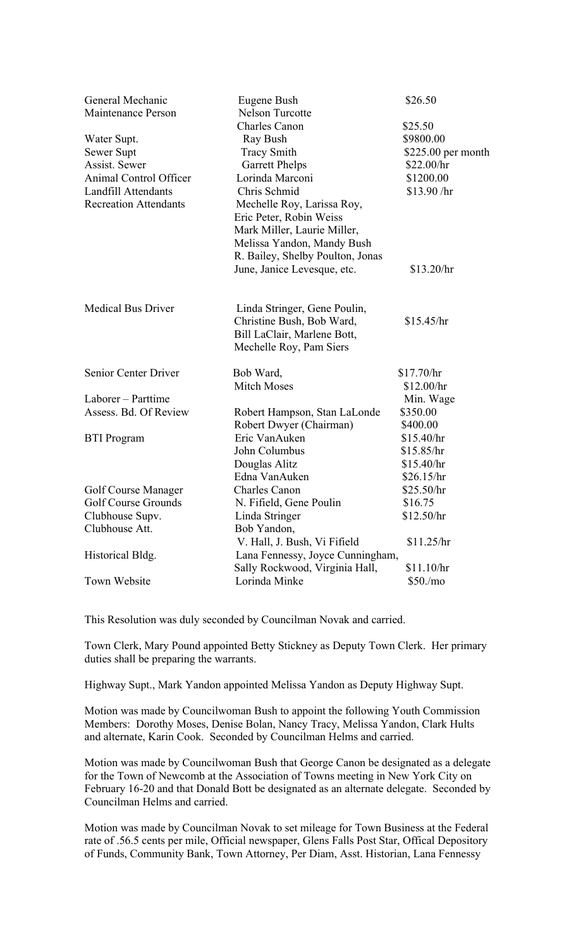| General Mechanic                                     | Eugene Bush                                               | \$26.50                           |
|------------------------------------------------------|-----------------------------------------------------------|-----------------------------------|
| <b>Maintenance Person</b>                            | <b>Nelson Turcotte</b>                                    |                                   |
|                                                      | <b>Charles Canon</b>                                      | \$25.50<br>\$9800.00              |
| Water Supt.                                          | Ray Bush                                                  |                                   |
| Sewer Supt<br>Assist. Sewer                          | <b>Tracy Smith</b>                                        | $$225.00$ per month<br>\$22.00/hr |
|                                                      | <b>Garrett Phelps</b><br>Lorinda Marconi                  |                                   |
| Animal Control Officer<br><b>Landfill Attendants</b> | Chris Schmid                                              | \$1200.00<br>\$13.90 / hr         |
| <b>Recreation Attendants</b>                         | Mechelle Roy, Larissa Roy,                                |                                   |
|                                                      | Eric Peter, Robin Weiss                                   |                                   |
|                                                      |                                                           |                                   |
|                                                      | Mark Miller, Laurie Miller,<br>Melissa Yandon, Mandy Bush |                                   |
|                                                      |                                                           |                                   |
|                                                      | R. Bailey, Shelby Poulton, Jonas                          |                                   |
|                                                      | June, Janice Levesque, etc.                               | \$13.20/hr                        |
| <b>Medical Bus Driver</b>                            | Linda Stringer, Gene Poulin,                              |                                   |
|                                                      | Christine Bush, Bob Ward,                                 | \$15.45/hr                        |
|                                                      | Bill LaClair, Marlene Bott,                               |                                   |
|                                                      | Mechelle Roy, Pam Siers                                   |                                   |
| Senior Center Driver                                 | Bob Ward,                                                 | \$17.70/hr                        |
|                                                      | <b>Mitch Moses</b>                                        | \$12.00/hr                        |
| Laborer – Parttime                                   |                                                           | Min. Wage                         |
| Assess. Bd. Of Review                                | Robert Hampson, Stan LaLonde                              | \$350.00                          |
|                                                      | Robert Dwyer (Chairman)                                   | \$400.00                          |
| <b>BTI</b> Program                                   | Eric VanAuken                                             | \$15.40/hr                        |
|                                                      | John Columbus                                             | \$15.85/hr                        |
|                                                      | Douglas Alitz                                             | \$15.40/hr                        |
|                                                      | Edna VanAuken                                             | \$26.15/hr                        |
| Golf Course Manager                                  | <b>Charles Canon</b>                                      | \$25.50/hr                        |
| Golf Course Grounds                                  | N. Fifield, Gene Poulin                                   | \$16.75                           |
| Clubhouse Supv.                                      | Linda Stringer                                            | \$12.50/hr                        |
| Clubhouse Att.                                       | Bob Yandon,                                               |                                   |
|                                                      | V. Hall, J. Bush, Vi Fifield                              | \$11.25/hr                        |
| Historical Bldg.                                     | Lana Fennessy, Joyce Cunningham,                          |                                   |
|                                                      | Sally Rockwood, Virginia Hall,                            | \$11.10/hr                        |
| Town Website                                         | Lorinda Minke                                             | \$50./mo                          |

This Resolution was duly seconded by Councilman Novak and carried.

Town Clerk, Mary Pound appointed Betty Stickney as Deputy Town Clerk. Her primary duties shall be preparing the warrants.

Highway Supt., Mark Yandon appointed Melissa Yandon as Deputy Highway Supt.

Motion was made by Councilwoman Bush to appoint the following Youth Commission Members: Dorothy Moses, Denise Bolan, Nancy Tracy, Melissa Yandon, Clark Hults and alternate, Karin Cook. Seconded by Councilman Helms and carried.

Motion was made by Councilwoman Bush that George Canon be designated as a delegate for the Town of Newcomb at the Association of Towns meeting in New York City on February 16-20 and that Donald Bott be designated as an alternate delegate. Seconded by Councilman Helms and carried.

Motion was made by Councilman Novak to set mileage for Town Business at the Federal rate of .56.5 cents per mile, Official newspaper, Glens Falls Post Star, Offical Depository of Funds, Community Bank, Town Attorney, Per Diam, Asst. Historian, Lana Fennessy